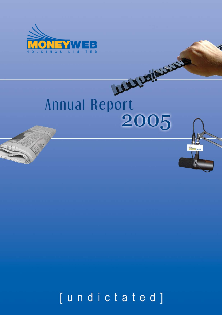

**SAMP** 

# **MAINS ROOM Annual Report** 2005

[undictated]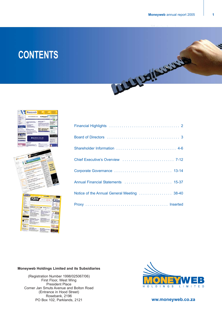# **CONTENTS**





| Shareholder Information  4-6                |
|---------------------------------------------|
|                                             |
|                                             |
| Annual Financial Statements  15-37          |
| Notice of the Annual General Meeting  38-40 |
|                                             |

### **Moneyweb Holdings Limited and its Subsidiaries**

(Registration Number 1998/025067/06) First Floor, West Wing President Place Corner Jan Smuts Avenue and Bolton Road (Entrance in Hood Street) Rosebank, 2196 PO Box 102, Parklands, 2121 **ww.moneyweb.co.za**

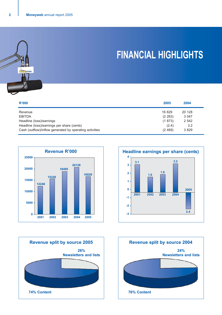

# **FINANCIAL HIGHLIGHTS**

| R'000                                                   | 2005     | 2004    |
|---------------------------------------------------------|----------|---------|
| Revenue                                                 | 16829    | 20 128  |
| <b>EBITDA</b>                                           | (2 283)  | 3 0 4 7 |
| Headline (loss)/earnings                                | (1873)   | 2 5 4 2 |
| Headline (loss)/earnings per share (cents)              | (2.4)    | 3.2     |
| Cash (outflow)/inflow generated by operating activities | (2, 469) | 3829    |







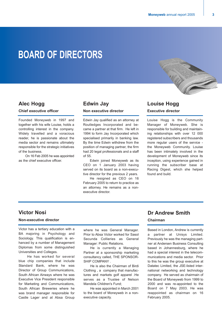# **BOARD OF DIRECTORS**

### **Alec Hogg**

**Chief executive officer**

Founded Moneyweb in 1997 and together with his wife Louise, holds a controlling interest in the company. Widely travelled and a voracious reader, he is passionate about the media sector and remains ultimately responsible for the strategic initiatives of the business.

On 16 Feb 2005 he was appointed as the chief executive officer.

### **Edwin Jay**

### **Non executive director**

Edwin Jay qualified as an attorney at Routledges Incorporated and became a partner at that firm. He left in 1994 to form Jay Incorporated which specialised primarily in banking law. By the time Edwin withdrew from the position of managing partner, the firm had 20 legal professionals and a staff of 55.

Edwin joined Moneyweb as its CEO on 1 January 2003 having served on its board as a non-executive director for the previous 2 years.

He resigned as CEO on 16 February 2005 to return to practice as an attorney. He remains as a nonexecutive director.

## **Louise Hogg**

### **Executive director**

Louise Hogg is the Community Manager of Moneyweb. She is responsible for building and maintaining relationships with over 12 000 registered subscribers and thousands more regular users of the service the Moneyweb Community. Louise has been intimately involved in the development of Moneyweb since its inception, using experience gained in running the subscriber base at Racing Digest, which she helped found and build.

W

### **Victor Nosi**

### **Non-executive director**

Victor has a tertiary education with a BA majoring in Psychology and Sociology. This qualification is enhanced by a number of Management Diplomas from some distinguished Universities and Colleges.

He has worked for several blue chip companies that include Standard Bank, where he was Director of Group Communications, South African Airways where he was Executive Vice President responsible for Marketing and Communications, South African Breweries where he was brand manager responsible for Castle Lager and at Absa Group

where he was General Manager. Prior to Absa Victor worked for Sasol Secunda Collieries as General Manager: Public Relations.

He is currently a Managing Partner at a sponsorship marketing consultancy called, THE SPONSOR-SHIP COMPANY .

He is also the Chairman of Birdi Clothing , a company that manufactures and markets golf apparel .He serves as a Trustee of Nelson Mandela Children's Fund;

He was appointed in March 2001 to the board of Moneyweb in a nonexecutive capacity.

### **Dr Andrew Smith**

### **Chairman**

Based in London, Andrew is currently a partner at Unisys Limited. Previously he was the managing partner at Andersen Business Consulting based in Johannesburg, where he had a special interest in the telecommunications and media sector. Prior to this he was the group executive at Datatec Limited, the JSE-listed international networking and technology company. He served as chairmain of the Board of Moneyweb from 1999 to 2000 and was re-appointed to the Board on 7 May 2003. He was reappointed as chairman on 16 February 2005.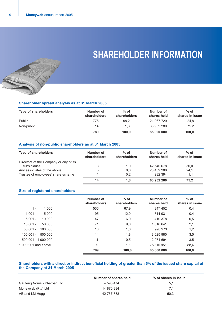# **SHAREHOLDER INFORMATION**

### **Shareholder spread analysis as at 31 March 2005**

| <b>Type of shareholders</b> | Number of<br>shareholders | $%$ of<br>shareholders | Number of<br>shares held | $%$ of<br>shares in issue |
|-----------------------------|---------------------------|------------------------|--------------------------|---------------------------|
| Public                      | 775                       | 98,2                   | 21 067 720               | 24,8                      |
| Non-public                  | 14                        | 1.8                    | 63 932 280               | 75.2                      |
|                             | 789                       | 100.0                  | 85 000 000               | 100,0                     |

### **Analysis of non-public shareholders as at 31 March 2005**

| <b>Type of shareholders</b>            | Number of<br>shareholders | $%$ of<br>shareholders | Number of<br>shares held | $%$ of<br>shares in issue |
|----------------------------------------|---------------------------|------------------------|--------------------------|---------------------------|
| Directors of the Company or any of its |                           |                        |                          |                           |
| subsidiaries                           | 8                         | 1,0                    | 42 540 678               | 50,0                      |
| Any associates of the above            | 5                         | 0,6                    | 20 459 208               | 24.1                      |
| Trustee of employees' share scheme     |                           | 0.2                    | 932 394                  | 1.1                       |
|                                        | 14                        | 1,8                    | 63 932 280               | 75,2                      |

### **Size of registered shareholders**

|                     |         | Number of<br>shareholders | $%$ of<br>shareholders | Number of<br>shares held | $%$ of<br>shares in issue |
|---------------------|---------|---------------------------|------------------------|--------------------------|---------------------------|
| $1 -$               | 1 0 0 0 | 536                       | 67,9                   | 347 452                  | 0,4                       |
| $1001 -$            | 5 0 0 0 | 95                        | 12,0                   | 314 931                  | 0,4                       |
| $5001 -$            | 10 000  | 47                        | 6,0                    | 410 378                  | 0,5                       |
| 10 001 -            | 50 000  | 71                        | 9,0                    | 1816641                  | 2,1                       |
| $50001 -$           | 100 000 | 13                        | 1,6                    | 996 973                  | 1,2                       |
| $100001 -$          | 500 000 | 14                        | 1,8                    | 3 0 25 9 80              | 3,5                       |
| 500 001 - 1 000 000 |         | $\overline{4}$            | 0,5                    | 2 971 694                | 3,5                       |
| 1,000,001 and above |         | 9                         | 1,1                    | 75 115 951               | 88,4                      |
|                     |         | 789                       | 100,0                  | 85 000 000               | 100,0                     |

### **Shareholders with a direct or indirect beneficial holding of greater than 5% of the issued share capital of the Company at 31 March 2005**

|                            | Number of shares held | % of shares in issue |
|----------------------------|-----------------------|----------------------|
| Gauteng Noms - Pharoah Ltd | 4 595 474             | 5.1                  |
| Moneyweb (Pty) Ltd         | 14 870 884            | 7.1                  |
| AB and LM Hogg             | 42 757 838            | 50.3                 |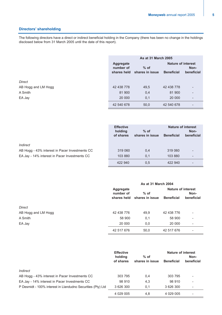### **Directors' shareholding**

The following directors have a direct or indirect beneficial holding in the Company (there has been no change in the holdings disclosed below from 31 March 2005 until the date of this report).

|                     | As at 31 March 2005                          |                           |                                                |                          |
|---------------------|----------------------------------------------|---------------------------|------------------------------------------------|--------------------------|
|                     | <b>Aggregate</b><br>number of<br>shares held | $%$ of<br>shares in issue | <b>Nature of interest</b><br><b>Beneficial</b> | Non-<br>beneficial       |
| Direct              |                                              |                           |                                                |                          |
| AB Hogg and LM Hogg | 42 438 778                                   | 49,5                      | 42 438 778                                     | $\overline{\phantom{0}}$ |
| A Smith             | 81 900                                       | 0,4                       | 81 900                                         | Ξ.                       |
| EA Jay              | 20 000                                       | 0,1                       | 20 000                                         | $\overline{\phantom{a}}$ |
|                     | 42 540 678                                   | 50,0                      | 42 540 678                                     |                          |

|                                                | <b>Effective</b><br>holding<br>of shares | $%$ of<br>shares in issue | <b>Beneficial</b> | <b>Nature of interest</b><br>Non-<br>beneficial |
|------------------------------------------------|------------------------------------------|---------------------------|-------------------|-------------------------------------------------|
| Indirect                                       |                                          |                           |                   |                                                 |
| AB Hogg - 43% interest in Pacer Investments CC | 319 060                                  | 0.4                       | 319 060           |                                                 |
| EA Jay - 14% interest in Pacer Investments CC  | 103 880                                  | 0.1                       | 103 880           | -                                               |
|                                                | 422 940                                  | 0.5                       | 422 940           |                                                 |

|                     | As at 31 March 2004                          |                           |                                                |                    |
|---------------------|----------------------------------------------|---------------------------|------------------------------------------------|--------------------|
|                     | <b>Aggregate</b><br>number of<br>shares held | $%$ of<br>shares in issue | <b>Nature of interest</b><br><b>Beneficial</b> | Non-<br>beneficial |
| Direct              |                                              |                           |                                                |                    |
| AB Hogg and LM Hogg | 42 438 776                                   | 49,9                      | 42 438 776                                     | ۰                  |
| A Smith             | 58 900                                       | 0,1                       | 58 900                                         | $\qquad \qquad -$  |
| EA Jay              | 20 000                                       | 0,0                       | 20 000                                         | ۰                  |
|                     | 42 517 676                                   | 50,0                      | 42 517 676                                     | ٠                  |

|                                                             | <b>Effective</b>     |                           | <b>Nature of interest</b> |                    |
|-------------------------------------------------------------|----------------------|---------------------------|---------------------------|--------------------|
|                                                             | holding<br>of shares | $%$ of<br>shares in issue | <b>Beneficial</b>         | Non-<br>beneficial |
| Indirect                                                    |                      |                           |                           |                    |
| AB Hogg - 43% interest in Pacer Investments CC              | 303 795              | 0,4                       | 303 795                   |                    |
| EA Jay - 14% interest in Pacer Investments CC               | 98 910               | 4,3                       | 98 910                    | -                  |
| P Desmidt - 100% interest in Llandudno Securities (Pty) Ltd | 3 626 300            | 0,1                       | 3 626 300                 |                    |
|                                                             | 4 029 005            | 4.8                       | 4 029 005                 |                    |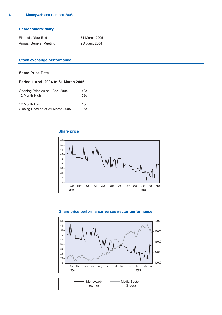| <b>Shareholders' diary</b> |  |  |  |
|----------------------------|--|--|--|
|----------------------------|--|--|--|

| Financial Year End     | 31 March 2005 |
|------------------------|---------------|
| Annual General Meeting | 2 August 2004 |

### **Stock exchange performance**

### **Share Price Data**

### **Period 1 April 2004 to 31 March 2005**

| Opening Price as at 1 April 2004  | 48c |
|-----------------------------------|-----|
| 12 Month High                     | 58c |
|                                   |     |
| 12 Month Low                      | 18c |
| Closing Price as at 31 March 2005 | 36c |

### **Share price**



### **Share price performance versus sector performance**

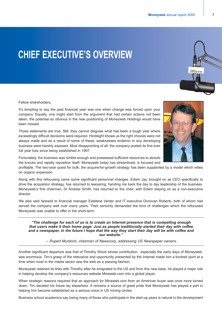# **CHIEF EXECUTIVE'S OVERVIEW**

Fellow shareholders,

It's tempting to say the past financial year was one when change was forced upon your company. Equally, one might start from the argument that had certain actions not been taken, the potential so obvious in the new positioning of Moneyweb Holdings would have been missed.

Those statements are true. Still, they cannot disguise what has been a tough year where exceedingly difficult decisions were required. Hindsight shows us the right choices were not always made and as a result of some of these, weaknesses endemic in any developing business were harshly exposed. Most disappointing of all, the company posted its first ever full year loss since being established in 1997.

Fortunately, the business was nimble enough and possessed sufficient resources to absorb the knocks and rapidly reposition itself. Moneyweb today has streamlined, is focused and

profitable. The two-year quest for bulk, the acquire-for-growth strategy has been supplanted by a model which relies on organic expansion.

Along with this refocusing came some significant personnel changes. Edwin Jay, brought on as CEO specifically to drive the acquisition strategy, has returned to lawyering, handing me back the day to day leadership of the business. Moneyweb's first chairman, Dr Andrew Smith, has returned to the chair, with Edwin staying on as a non-executive director.

We also said farewell to financial manager Estelene Venter and IT executive Donovan Roberts, both of whom had served the company well over many years. Their seniority demanded the kind of challenges which the refocused Moneyweb was unable to offer in the short-term.

*"The challenge for each of us is to create an Internet presence that is compelling enough that users make it their home page. Just as people traditionally started their day with coffee and a newspaper, in the future I hope that the way they start their day will be with coffee and our website."*

*– Rupert Murdoch, chairman of Newscorp, addressing US Newspaper owners.*

Another significant departure was that of Timothy Wood whose contribution, especially the early days of Moneyweb, was enormous. Tim's grasp of the relevance and opportunity presented by the Internet made him a kindred spirit at a time when most in the media sector saw the web as a passing fashion.

Moneyweb retained its links with Timothy after he emigrated to the US and from this new base, he played a major role in helping develop the company's resources website Mineweb.com into a global player.

When strategic reasons required that an approach for Mineweb.com from an American buyer was once more turned down, Tim decided his future lay elsewhere. It remains a source of great pride that Moneyweb has played a part in helping him become established as a serious voice in US mining circles.

Business school academics say losing many of those who participate in the start-up years is natural in the development

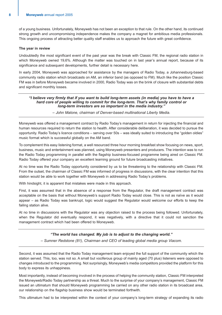of a young business. Unfortunately, Moneyweb has not been an exception to that rule. On the other hand, its continued strong growth and uncompromising independence makes the company a magnet for ambitious media professionals. This ongoing process of attracting better quality staff enables us to approach the future with great confidence.

### **The year in review**

Undoubtedly the most significant event of the past year was the break with Classic FM, the regional radio station in which Moneyweb owned 19,6%. Although the matter was touched on in last year's annual report, because of its significance and subsequent developments, further detail is necessary here.

In early 2004, Moneyweb was approached for assistance by the managers of Radio Today, a Johannesburg-based community radio station which broadcasts on AM, an inferior band (as opposed to FM). Much like the position Classic FM was in before Moneyweb became involved in 2000, Radio Today was on the brink of closure with substantial debts and significant monthly losses.

### *"I believe very firmly that if you want to build long-term assets (in media) you have to have a hard core of people willing to commit for the long-term. That's why family control or long-term investors are so important in the media industry."*

*– John Malone, chairman of Denver-based multinational Liberty Media.*

Moneyweb was offered a management contract by Radio Today's management in return for injecting the financial and human resources required to return the station to health. After considerable deliberation, it was decided to pursue the opportunity. Radio Today's licence conditions – serving over 50s – was ideally suited to introducing the "golden oldies" music format which is successful globally on the AM band.

To complement this easy listening format, a well resourced three hour morning breakfast show focusing on news, sport, business, music and entertainment was planned, using Moneyweb presenters and producers. The intention was to run the Radio Today programming in parallel with the flagship business-focused programme being aired on Classic FM. Radio Today offered your company an excellent learning ground for future broadcasting initiatives.

At no time was the Radio Today opportunity considered by us to be threatening to the relationship with Classic FM. From the outset, the chairman of Classic FM was informed of progress in discussions, with the clear intention that this station would be able to work together with Moneyweb in addressing Radio Today's problems.

With hindsight, it is apparent that mistakes were made in this approach.

First, it was assumed that in the absence of a response from the Regulator, the draft management contract was acceptable on the basis that without Moneyweb's support Radio Today would close. This is not as naïve as it would appear – as Radio Today was bankrupt, logic would suggest the Regulator would welcome our efforts to keep the failing station alive.

At no time in discussions with the Regulator was any objection raised to the process being followed. Unfortunately, when the Regulator did eventually respond, it was negatively, with a directive that it could not sanction the management contract which had been offered to Moneyweb.

### *"The world has changed. My job is to adjust to the changing world."*

*– Sumner Redstone (81), Chairman and CEO of leading global media group Viacom.*

Second, it was assumed that the Radio Today management team enjoyed the full support of the community which the station served. This, too, was not so. A small but vociferous group of mainly aged (70 plus) listeners were opposed to changes introduced to the programming. Not surprisingly, Moneyweb's media competitors provided the platform for this body to express its unhappiness.

Most importantly, instead of becoming involved in the process of helping the community station, Classic FM interpreted the Moneyweb/Radio Today partnership as a threat. Much to the surprise of your company's management, Classic FM issued an ultimatum that should Moneyweb programming be carried on any other radio station in its broadcast area, our relationship on the flagship business show would be terminated forthwith.

This ultimatum had to be interpreted within the context of your company's long-term strategy of expanding its radio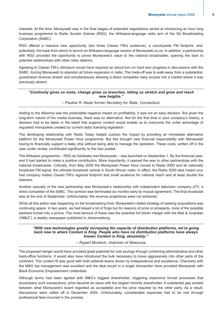interests. At the time, Moneyweb was in the final stages of extended negotiations aimed at introducing an hour long business programme to Radio Sonder Grense (RSG), the Afrikaans-language radio arm of the SA Broadcasting Corporation (SABC).

RSG offered a massive new opportunity (ten times Classic FM's audience), a countrywide FM footprint, and, potentially, the base from which to launch an Afrikaans-language version of Moneyweb.co.za. In addition, a partnership with RSG provided the opportunity to prove Moneyweb's value to the national broadcaster, opening the door to potential relationships with other radio stations.

Agreeing to Classic FM's ultimatum would have required an about-turn on hard won progress in discussions with the SABC, forcing Moneyweb to abandon all future expansion in radio. The trade-off was to walk away from a substantial, guaranteed revenue stream and simultaneously allowing a direct competitor easy access into a market where it was previously absent.

### *"Continuity gives us roots; change gives us branches, letting us stretch and grow and reach new heights."*

### *– Pauline R. Kezer former Secretary for State, Connecticut.*

Adding to the dilemma was the predictable negative impact on profitability. It was not an easy decision. But given the long-term nature of the media business, there was no alternative. Not for the first time in your company's history, a decision had to be taken in the belief that superior content would enable us to overcome the unfair advantage of regulated monopolies created by current radio licensing legislation.

The developing relationship with Radio Today helped cushion the impact by providing an immediate alternative platform for the Moneyweb Power Hour programme. But this brought new financial responsibility with Moneyweb having to financially support a leaky ship without being able to manage the operation. These costs, written off in the year under review, contributed significantly to the loss posted.

The Afrikaans programme – RSG se Geldsake met Moneyweb – was launched on September 1. By the financial yearend it had started to make a positive contribution. More importantly, it opened the way to other partnerships with the national broadcaster. Critically, from May 2005 the Moneyweb Power Hour moved to Radio 2000 and its nationally broadcast FM signal, the ultimate broadcast vehicle in South African radio. In effect, the Radio 2000 deal meant your had company traded Classic FM's regional footprint and small audience for national reach and at least double the listeners.

Another casualty of the new partnership was Moneyweb's relationship with independent television company eTV, a direct competitor of the SABC. The contract was terminated six months early by mutual agreement. The final broadcast was at the end of September. Unfortunately, the revenue projections were not achieved.

While all this action was happening on the broadcasting front, Moneyweb's stated strategy of seeking acquisitions was continuing apace. In two years, we had kissed a lot of frogs but for reasons of price or prospects, none of the possible partners turned into a prince. The most serious of these was the potential full blown merger with the Mail & Guardian ("M&G"), a weekly newspaper published in Johannesburg.

### *"With new technologies greatly increasing the capacity of distribution platforms, we're going back now to where Content is King. People who have no distribution platforms have always known Content is King, absolutely."*

*– Rupert Murdoch, chairman of Newscorp.*

The proposed merger would have provided great potential for cost savings through combining administrative and other back-office functions. It would also have introduced the bulk necessary to move aggressively into other parts of the continent. The content fit was good with both editorial teams driven by independence and excellence. Chemistry with the M&G top management was excellent and the deal would in a single transaction have provided Moneyweb with Black Economic Empowerment credentials.

Although terms had been agreed with M&G's biggest shareholder, triggering expensive formal processes that accompany such transactions, price became an issue with the largest minority shareholder. A substantial gap existed between what Moneyweb's board regarded as acceptable and the price required by the other party. As a result, discussions were called off in December 2004. Unfortunately, considerable expenses had to be met through professional fees incurred in the process.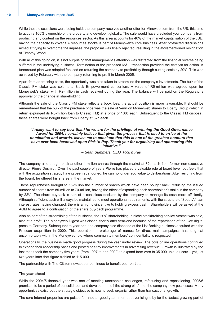While these discussions were being held, the company received another offer for Mineweb.com from the US, this time to acquire 100% ownership of the property and develop it globally. The sale would have precluded your company from producing any content on the resources sector. As this area accounts for 40% of the market capitalisation of the JSE, having the capacity to cover SA resources stocks is part of Moneyweb's core business. After protracted discussions aimed at trying to overcome the impasse, the proposal was finally rejected, resulting in the aforementioned resignation of Timothy Wood.

With all of this going on, it is not surprising that management's attention was distracted from the financial reverse being suffered in the underlying business. Termination of the proposed M&G transaction provided the catalyst for action. A turnaround plan was adopted focused on returning the company to profitability through cutting costs by 20%. This was achieved by February with the company returning to profit in March 2005.

Apart from addressing costs, the opportunity was also taken to streamline the company's investments. The bulk of the Classic FM stake was sold to a Black Empowerment consortium. A value of R5-million was agreed upon for Moneyweb's stake, with R2-million in cash received during the year. The balance will be paid on the Regulator's approval of the change in shareholding.

Although the sale of the Classic FM stake reflects a book loss, the actual position is more favourable. It should be remembered that the bulk of the purchase price was the sale of 5-million Moneyweb shares to Liberty Group (which in return expunged its R5-million loan to Classic FM) at a price of 100c each. Subsequent to the Classic FM disposal, these shares were bought back from Liberty at 32c each.

*"I really want to say how thankful we are for the privilege of winning the Good Governance Award for 2004. I certainly believe that given the process that is used to arrive at the nomination and awards, leaves me to conclude that this is one of the greatest honours that have ever been bestowed upon Pick 'n Pay. Thank you for organizing and sponsoring this initiative."*

*– Sean Summers, CEO, Pick n Pay.*

The company also bought back another 4-million shares through the market at 32c each from former non-executive director Pierre Desmidt. Over the past couple of years Pierre has played a valuable role at board level, but feels that with the acquisition strategy having been abandoned, he can no longer add value to deliberations. After resigning from the board, he offered his shares in the market.

These repurchases brought to 15-million the number of shares which have been bought back, reducing the issued number of shares from 85-million to 70-million, having the effect of expanding each shareholder's stake in the company by 22%. The share buyback is part of a conscious decision by the company to manage its cash more efficiently. Although sufficient cash will always be maintained to meet operational requirements, with the structure of South African interest rates having changed, there is a high disincentive to holding excess cash. Shareholders will be asked at the AGM to agree to a continuation of the share buy-back programme.

Also as part of the streamlining of the business, the 20% shareholding in niche stockbroking service Vestact was sold, also at a profit. The Moneyweb Digest was closed shortly after year-end because of the repatriation of the Oce digital press to Germany. Subsequent to year-end, the company also disposed of the List Broking business acquired with the Prescon acquisition in 2000. This operation, a brokerage of names for direct mail campaigns, has long sat uncomfortably within the Moneyweb fold where community members' confidentiality is respected.

Operationally, the business made good progress during the year under review. The core online operations continued to expand their readership bases and posted healthy improvements in advertising revenue. Growth is illustrated by the fact that it took the company five years (from 1997 to end 2002) to expand from zero to 35 000 unique users – yet just two years later that figure trebled to 115 000.

The partnership with The Citizen newspaper continues to benefit both parties.

### **The year ahead**

While the 2004/5 financial year was one of meeting unexpected challenges, refocusing and repositioning, 2005/6 promises to be a period of consolidation and development off the strong platforms the company now possesses. Many opportunities exist, but the strategic objective is now to seek organic rather than transactional growth.

The core Internet properties are poised for another good year. Internet advertising is by far the fastest growing part of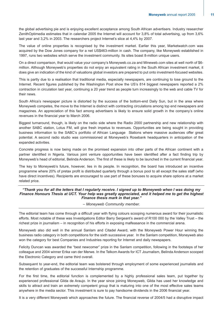the global advertising pie and is enjoying excellent acceptance among South African advertisers. Industry researcher ZenithOptimedia estimates that in calendar 2005 the Internet will account for 3,8% of total advertising, up from 3,6% last year and 3,2% in 2003. The researchers project Internet's slice at 4,4% by 2007.

The value of online properties is recognised by the investment market. Earlier this year, Marketwatch.com was acquired by the Dow Jones company for a net US\$463-million in cash. The company, like Moneyweb established in 1997, runs two websites which serve the investment community. Its sites boast 8-million unique users.

On a direct comparison, that would value your company's Moneyweb.co.za and Mineweb.com sites at well north of \$6 million. Although Moneyweb's properties do not enjoy an equivalent rating in the South African investment market, it does give an indication of the kind of valuations global investors are prepared to put onto investment-focused websites.

This is partly due to a realisation that traditional media, especially newspapers, are continuing to lose ground to the Internet. Recent figures published by the Washington Post show the US's 814 biggest newspapers reported a 2% contraction in circulation last year, continuing a 20 year trend as people turn increasingly to the web and cable TV for their news.

South Africa's newspaper picture is distorted by the success of the bottom-end Daily Sun, but in the area where Moneyweb competes, the move to the Internet is distinct with contracting circulations among top end newspapers and magazines. An appreciation of this fact among advertisers is likely to ensure solid growth in the company's online revenues in the financial year to March 2006.

Biggest turnaround, though, is likely on the radio side where the Radio 2000 partnership and new relationship with another SABC station, Lotus FM, will give fresh impetus to revenues. Opportunities are being sought in providing business information to the SABC's portfolio of African Language Stations where massive audiences offer great potential. A second radio studio was commissioned at Moneyweb's Rosebank headquarters in anticipation of the expanded activities.

Concrete progress is now being made on the promised expansion into other parts of the African continent with a partner identified in Nigeria. Various joint venture opportunities have been identified after a fact finding trip by Moneyweb's head of editorial, Belinda Anderson. The first of these is likely to be launched in the current financial year.

The key to Moneyweb's future, however, lies in its people. In recognition, the board has introduced an incentive programme where 20% of pretax profit is distributed quarterly through a bonus pool to all except the sales staff (who have direct incentives). Recipients are encouraged to use part of these bonuses to acquire share options at a market related price.

### *"Thank you for all the letters that I regularly receive. I signed up to Moneyweb when I was doing my Finance Honours Thesis at UCT. Your help was greatly appreciated, and it helped me to get the highest Finance thesis mark in that year."*

*– Moneyweb Community member.*

The editorial team has come through a difficult year with flying colours scooping numerous award for their journalistic efforts. Most notable of these was Investigations Editor Barry Sergeant's award of R100 000 by the Valley Trust – the richest prize in journalism – in recognition of his efforts in exposing malfeasance in the commercial arena.

Moneyweb also did well in the annual Sanlam and Citadel Award, with the Moneyweb Power Hour winning the business radio category in both competitions for the sixth successive year. In the Sanlam competition, Moneyweb also won the category for best Companies and Industries reporting for Internet and daily newspapers.

Felicity Duncan was awarded the "best newcomer" prize in the Sanlam competition, following in the footsteps of her colleague and 2004 winner Erika van der Merwe. In the Telkom Awards for ICT Journalism, Belinda Anderson scooped the Electronic Category and came third overall.

Subsequent to year-end, the editorial team was bolstered through employment of some experienced journalists and the retention of graduates of the successful Internship programme.

For the first time, the editorial function is complemented by a highly professional sales team, put together by experienced professional Gilda de Araujo. In the year since joining Moneyweb, Gilda has used her knowledge and skills to attract and train an extremely competent group that is maturing into one of the most effective sales teams anywhere in the media sector. This investment is sure to pay handsome dividends in the 2006 financial year.

It is a very different Moneyweb which approaches the future. The financial reverse of 2004/5 had a disruptive impact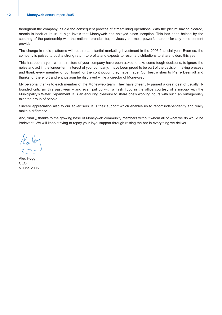throughout the company, as did the consequent process of streamlining operations. With the picture having cleared, morale is back at its usual high levels that Moneyweb has enjoyed since inception. This has been helped by the securing of the partnership with the national broadcaster, obviously the most powerful partner for any radio content provider.

The change in radio platforms will require substantial marketing investment in the 2006 financial year. Even so, the company is poised to post a strong return to profits and expects to resume distributions to shareholders this year.

This has been a year when directors of your company have been asked to take some tough decisions, to ignore the noise and act in the longer-term interest of your company. I have been proud to be part of the decision making process and thank every member of our board for the contribution they have made. Our best wishes to Pierre Desmidt and thanks for the effort and enthusiasm he displayed while a director of Moneyweb.

My personal thanks to each member of the Moneyweb team. They have cheerfully parried a great deal of usually illfounded criticism this past year – and even put up with a flash flood in the office courtesy of a mix-up with the Municipality's Water Department. It is an enduring pleasure to share one's working hours with such an outrageously talented group of people.

Sincere appreciation also to our advertisers. It is their support which enables us to report independently and really make a difference.

And, finally, thanks to the growing base of Moneyweb community members without whom all of what we do would be irrelevant. We will keep striving to repay your loyal support through raising the bar in everything we deliver.

Alec Hogg CEO 5 June 2005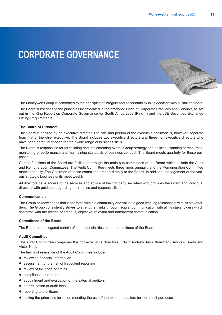W COMPANY

# **CORPORATE GOVERNANCE**

The Moneyweb Group is committed to the principles of integrity and accountability in its dealings with all stakeholders.

The Board subscribes to the principles incorporated in the amended Code of Corporate Practices and Conduct, as set out in the King Report on Corporate Governance for South Africa 2002 (King II) and the JSE Securities Exchange Listing Requirements.

### **The Board of Directors**

The Board is chaired by an executive director. The role and person of the executive chairman is, however, separate from that of the chief executive. The Board includes two executive directors and three non-executive directors who have been carefully chosen for their wide range of business skills.

The Board is responsible for formulating and implementing overall Group strategy and policies, planning of resources, monitoring of performance and maintaining standards of business conduct. The Board meets quarterly for these purposes.

Certain functions of the Board are facilitated through the main sub-committees of the Board which include the Audit and Remuneration Committees. The Audit Committee meets three times annually and the Remuneration Committee meets annually. The Chairmen of these committees report directly to the Board. In addition, management of the various strategic business units meet weekly.

All directors have access to the services and advice of the company secretary who provides the Board and individual directors with guidance regarding their duties and responsibilities.

### **Communication**

The Group acknowledges that it operates within a community and values a good working relationship with its stakeholders. The Group consistently strives to strengthen links through regular communication with all its stakeholders which conforms with the criteria of timeous, objective, relevant and transparent communication.

### **Committees of the Board**

The Board has delegated certain of its responsibilities to sub-committees of the Board.

### **Audit Committee**

The Audit Committee comprises the non-executive directors, Edwin Andrew Jay (Chairman), Andrew Smith and Victor Nosi.

The terms of reference of the Audit Committee include:

- reviewing financial information
- $\bullet$  assessment of the risk of fraudulent reporting
- review of the code of ethics
- compliance procedures
- appointment and evaluation of the external auditors
- determination of audit fees
- reporting to the Board
- $\bullet$  setting the principles for recommending the use of the external auditors for non-audit purposes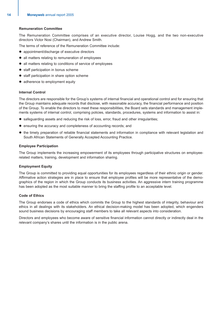### **Remuneration Committee**

The Remuneration Committee comprises of an executive director, Louise Hogg, and the two non-executive directors Victor Nosi (Chairman), and Andrew Smith.

The terms of reference of the Remuneration Committee include:

- appointment/discharge of executive directors
- all matters relating to remuneration of employees
- all matters relating to conditions of service of employees
- staff participation in bonus scheme
- staff participation in share option scheme
- adherence to employment equity

### **Internal Control**

The directors are responsible for the Group's systems of internal financial and operational control and for ensuring that the Group maintains adequate records that disclose, with reasonable accuracy, the financial performance and position of the Group. To enable the directors to meet these responsibilities, the Board sets standards and management implements systems of internal control, comprising policies, standards, procedures, systems and information to assist in:

- $\bullet$  safeguarding assets and reducing the risk of loss, error, fraud and other irregularities;
- ensuring the accuracy and completeness of accounting records; and
- the timely preparation of reliable financial statements and information in compliance with relevant legislation and South African Statements of Generally Accepted Accounting Practice.

### **Employee Participation**

The Group implements the increasing empowerment of its employees through participative structures on employeerelated matters, training, development and information sharing.

### **Employment Equity**

The Group is committed to providing equal opportunities for its employees regardless of their ethnic origin or gender. Affirmative action strategies are in place to ensure that employee profiles will be more representative of the demographics of the region in which the Group conducts its business activities. An aggressive intern training programme has been adopted as the most suitable manner to bring the staffing profile to an acceptable level.

### **Code of Ethics**

The Group endorses a code of ethics which commits the Group to the highest standards of integrity, behaviour and ethics in all dealings with its stakeholders. An ethical decision-making model has been adopted, which engenders sound business decisions by encouraging staff members to take all relevant aspects into consideration.

Directors and employees who become aware of sensitive financial information cannot directly or indirectly deal in the relevant company's shares until the information is in the public arena.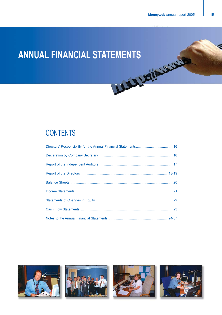# **ANNUAL FINANCIAL STATEMENTS**

# **CONTENTS**



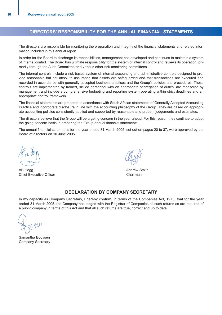### **DIRECTORS' RESPONSIBILITY FOR THE ANNUAL FINANCIAL STATEMENTS**

The directors are responsible for monitoring the preparation and integrity of the financial statements and related information included in this annual report.

In order for the Board to discharge its reponsibilities, management has developed and continues to maintain a system of internal control. The Board has ultimate responsibility for the system of internal control and reviews its operation, primarily through the Audit Committee and various other risk-monitoring committees.

The internal controls include a risk-based system of internal accounting and administrative controls designed to provide reasonable but not absolute assurance that assets are safeguarded and that transactions are executed and recorded in accordance with generally accepted business practices and the Group's policies and procedures. These controls are implemented by trained, skilled personnel with an appropriate segregation of duties, are monitored by management and include a comprehensive budgeting and reporting system operating within strict deadlines and an appropriate control framework.

The financial statements are prepared in accordance with South African statements of Generally Accepted Accounting Practice and incorporate disclosure in line with the accounting philosophy of the Group. They are based on appropriate accounting policies consistently applied and supported by reasonable and prudent judgements and estimates.

The directors believe that the Group will be a going concern in the year ahead. For this reason they continue to adopt the going concern basis in preparing the Group annual financial statements.

The annual financial statements for the year ended 31 March 2005, set out on pages 20 to 37, were approved by the Board of directors on 10 June 2005.

AB Hogg **Andrew Smith** Andrew Smith **Chief Executive Officer Chairman** 

### **DECLARATION BY COMPANY SECRETARY**

In my capacity as Company Secretary, I hereby confirm, in terms of the Companies Act, 1973, that for the year ended 31 March 2005, the Company has lodged with the Registrar of Companies all such returns as are required of a public company in terms of this Act and that all such returns are true, correct and up to date.

Samantha Booysen Company Secretary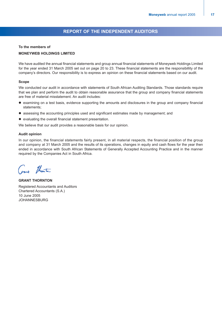### **REPORT OF THE INDEPENDENT AUDITORS**

### **To the members of**

### **MONEYWEB HOLDINGS LIMITED**

We have audited the annual financial statements and group annual financial statements of Moneyweb Holdings Limited for the year ended 31 March 2005 set out on page 20 to 23. These financial statements are the responsibillity of the company's directors. Our responsibility is to express an opinion on these financial statements based on our audit.

### **Scope**

We conducted our audit in accordance with statements of South African Auditing Standards. Those standards require that we plan and perform the audit to obtain reasonable assurance that the group and company financial statements are free of material misstatement. An audit includes:

- examining on a test basis, evidence supporting the amounts and disclosures in the group and company financial statements;
- $\bullet$  assessing the accounting principles used and significant estimates made by management; and
- $\bullet$  evaluating the overall financial statement presentation.

We believe that our audit provides a reasonable basis for our opinion.

### **Audit opinion**

In our opinion, the financial statements fairly present, in all material respects, the financial position of the group and company at 31 March 2005 and the results of its operations, changes in equity and cash flows for the year then ended in accordance with South African Statements of Generally Accepted Accounting Practice and in the manner required by the Companies Act in South Africa.

that

**GRANT THORNTON** Registered Accountants and Auditors Chartered Accountants (S.A.) 10 June 2005 JOHANNESBURG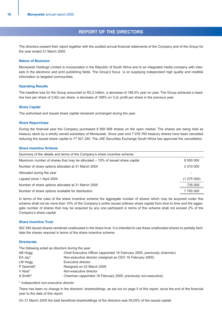### **REPORT OF THE DIRECTORS**

The directors present their report together with the audited annual financial statements of the Company and of the Group for the year ended 31 March 2005.

### **Nature of Business**

Moneyweb Holdings Limited is incorporated in the Republic of South Africa and is an integrated media company with interests in the electronic and print publishing fields. The Group's focus is on supplying independent high quality and credible information to targeted communities.

### **Operating Results**

The headline loss for the Group amounted to R2,2 million, a decrease of 186,5% year on year. The Group achieved a headline loss per share of 2,82c per share, a decrease of 188% on 3,2c profit per share in the previous year.

### **Share Capital**

The authorised and issued share capital remained unchanged during the year.

### **Share Repurchase**

During the financial year the Company purchased 8 850 808 shares on the open market. The shares are being held as treasury stock by a wholly owned subsidiary of Moneyweb. Since year end 7 078 760 treasury shares have been cancelled reducing the issued share capital to 77 921 240. The JSE Securities Exchange South Africa has approved the cancellation.

### **Share Incentive Scheme**

| Summary of the details and terms of the Company's share incentive scheme.      |           |
|--------------------------------------------------------------------------------|-----------|
| Maximum number of shares that may be allocated $-10\%$ of issued share capital | 8 500 000 |
| Number of share options allocated at 31 March 2004                             | 2 010 000 |
| Allocated during the year                                                      |           |
| Lapsed since 1 April 2004                                                      | (1275000) |
| Number of share options allocated at 31 March 2005                             | 735 000   |
| Number of share options available for distribution                             | 7 765 000 |

In terms of the rules of the share incentive scheme the aggregate number of shares which may be acquired under this scheme shall not be more than 10% of the Company's entire issued ordinary share capital from time to time and the aggregate number of shares that may be acquired by any one participant in terms of this scheme shall not exceed 2% of the Company's share capital.

### **Share Incentive Trust**

922 394 issued shares remained unallocated in the share trust. It is intended to use these unallocated shares to partially facilitate the shares required in terms of the share incentive scheme.

### **Directorate**

The following acted as directors during the year:

| AB Hogg    | Chief Executive Officer (appointed 16 February 2005, previously chairman) |
|------------|---------------------------------------------------------------------------|
| EA Jay*    | Non-executive director (resigned as CEO 16 February 2005)                 |
| LM Hogg    | Executive director                                                        |
| P Desmidt* | Resigned on 23 March 2005                                                 |
| V Nosi*    | Non-executive director                                                    |
| A Smith*   | Chairman (appointed 16 February 2005, previously non-executive)           |

\* *Independent non-executive director*

There has been no change in the directors' shareholdings, as set out on page 5 of this report, since the end of the financial year to the date of this report.

On 31 March 2005 the total beneficial shareholdings of the directors was 50,05% of the issued capital.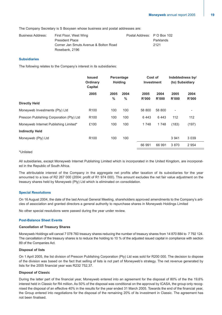The Company Secretary is S Booysen whose business and postal addresses are:

| Business Address: | First Floor, West Wing                | Postal Address: P O Box 102 |           |
|-------------------|---------------------------------------|-----------------------------|-----------|
|                   | <b>President Place</b>                |                             | Parklands |
|                   | Corner Jan Smuts Avenue & Bolton Road |                             | 2121      |
|                   | Rosebank, 2196                        |                             |           |

### **Subsidiaries**

The following relates to the Company's interest in its subsidiaries:

|                                          | <b>Issued</b><br>Ordinary<br>Capital | Percentage<br><b>Holding</b> |                       | Cost of<br><b>Investment</b> |               | Indebtedness by/<br>(to) Subsidiary |                          |
|------------------------------------------|--------------------------------------|------------------------------|-----------------------|------------------------------|---------------|-------------------------------------|--------------------------|
|                                          | 2005                                 | 2005<br>$\frac{0}{0}$        | 2004<br>$\frac{0}{0}$ | 2005<br>R'000                | 2004<br>R'000 | 2005<br>R'000                       | 2004<br>R'000            |
| <b>Directly Held</b>                     |                                      |                              |                       |                              |               |                                     |                          |
| Moneyweb Investments (Pty) Ltd           | R <sub>100</sub>                     | 100                          | 100                   | 58 800                       | 58 800        | $\qquad \qquad \blacksquare$        | $\overline{\phantom{a}}$ |
| Prescon Publishing Corporation (Pty) Ltd | R <sub>100</sub>                     | 100                          | 100                   | 6443                         | 6443          | 112                                 | 112                      |
| Moneyweb Internet Publishing Limited*    | £100                                 | 100                          | 100                   | 1 748                        | 1748          | (183)                               | (197)                    |
| <b>Indirectly Held</b>                   |                                      |                              |                       |                              |               |                                     |                          |
| Moneyweb (Pty) Ltd                       | R <sub>100</sub>                     | 100                          | 100                   |                              |               | 3 9 4 1                             | 3 0 3 9                  |
|                                          |                                      |                              |                       | 66 991                       | 66 991        | 3870                                | 2 9 5 4                  |
|                                          |                                      |                              |                       |                              |               |                                     |                          |

### \*Unlisted

All subsidiaries, except Moneyweb Internet Publishing Limited which is incorporated in the United Kingdom, are incorporated in the Republic of South Africa.

The attributable interest of the Company in the aggregate net profits after taxation of its subsidiaries for the year amounted to a loss of R2 267 000 (2004: profit of R1 974 000). This amount excludes the net fair value adjustment on the treasury shares held by Moneyweb (Pty) Ltd which is eliminated on consolidation.

### **Special Resolutions**

On 16 August 2004, the date of the last Annual General Meeting, shareholders approved amendments to the Company's articles of association and granted directors a general authority to repurchase shares in Moneyweb Holdings Limited

No other special resolutions were passed during the year under review.

### **Post-Balance Sheet Events**

### **Cancellation of Treasury Shares**

Moneyweb Holdings will cancel 7 078 760 treasury shares reducing the number of treasury shares from 14 870 884 to 7 792 124. The cancellation of the treasury shares is to reduce the holding to 10 % of the adjusted issued capital in compliance with section 89 of the Companies Act.

### **Disposal of lists**

On 1 April 2005, the list division of Prescon Publishing Corporation (Pty) Ltd was sold for R200 000. The decision to dispose of the division was based on the fact that selling of lists is not part of Moneyweb's strategy. The net revenue generated by lists for the 2005 financial year was R232 752,37.

### **Disposal of Classic**

During the latter part of the financial year, Moneyweb entered into an agreement for the disposal of 80% of the the 19,6% interest held in Classic for R4 million. As 50% of the disposal was conditional on the approval by ICASA, the group only recognised the disposal of an effective 40% in the results for the year ended 31 March 2005. Towards the end of the financial year, the Group entered into negotiations for the disposal of the remaining 20% of its investment in Classic. The agreement has not been finalised.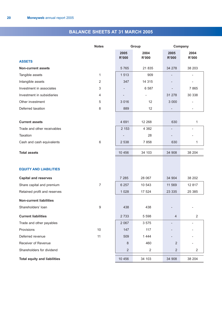### **BALANCE SHEETS AT 31 MARCH 2005**

|                                     | <b>Notes</b>   | Group                |                      | Company                  |                              |
|-------------------------------------|----------------|----------------------|----------------------|--------------------------|------------------------------|
|                                     |                | 2005<br><b>R'000</b> | 2004<br><b>R'000</b> | 2005<br><b>R'000</b>     | 2004<br><b>R'000</b>         |
| <b>ASSETS</b>                       |                |                      |                      |                          |                              |
| <b>Non-current assets</b>           |                | 5 7 6 5              | 21 835               | 34 278                   | 38 203                       |
| Tangible assets                     | 1              | 1 5 1 3              | 909                  | $\overline{\phantom{a}}$ | $\qquad \qquad \blacksquare$ |
| Intangible assets                   | $\overline{2}$ | 347                  | 14 3 15              |                          |                              |
| Investment in associates            | 3              |                      | 6 5 8 7              | $\overline{\phantom{0}}$ | 7865                         |
| Investment in subsidiaries          | 4              |                      |                      | 31 278                   | 30 338                       |
| Other investment                    | 5              | 3 0 1 6              | 12                   | 3 0 0 0                  | $\qquad \qquad \blacksquare$ |
| Deferred taxation                   | 8              | 889                  | 12                   | $\overline{\phantom{a}}$ | $\overline{\phantom{a}}$     |
|                                     |                |                      |                      |                          |                              |
| <b>Current assets</b>               |                | 4 6 9 1              | 12 268               | 630                      | 1                            |
| Trade and other receivables         |                | 2 1 5 3              | 4 3 8 2              | $\overline{\phantom{a}}$ | $\overline{a}$               |
| Taxation                            |                |                      | 28                   | $\overline{\phantom{0}}$ |                              |
| Cash and cash equivalents           | 6              | 2 5 3 8              | 7858                 | 630                      | 1                            |
| <b>Total assets</b>                 |                | 10 456               | 34 103               | 34 908                   | 38 204                       |
|                                     |                |                      |                      |                          |                              |
| <b>EQUITY AND LIABILITIES</b>       |                |                      |                      |                          |                              |
| <b>Capital and reserves</b>         |                | 7 2 8 5              | 28 067               | 34 904                   | 38 202                       |
| Share capital and premium           | $\overline{7}$ | 6 2 5 7              | 10 543               | 11 569                   | 12 817                       |
| Retained profit and reserves        |                | 1 0 28               | 17 524               | 23 335                   | 25 385                       |
| <b>Non-current liabilities</b>      |                |                      |                      |                          |                              |
| Shareholders' loan                  | 9              | 438                  | 438                  |                          |                              |
| <b>Current liabilities</b>          |                | 2 7 3 3              | 5 5 9 8              | $\overline{4}$           | $\overline{2}$               |
| Trade and other payables            |                | 2 0 6 7              | 3 5 7 5              |                          |                              |
| Provisions                          | 10             | 147                  | 117                  |                          |                              |
| Deferred revenue                    | 11             | 509                  | 1 4 4 4              |                          |                              |
| Receiver of Revenue                 |                | $\,8\,$              | 460                  | $\sqrt{2}$               |                              |
| Shareholders for dividend           |                | $\sqrt{2}$           | $\sqrt{2}$           | $\sqrt{2}$               | $\overline{2}$               |
| <b>Total equity and liabilities</b> |                | 10 456               | 34 103               | 34 908                   | 38 204                       |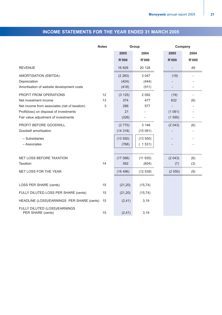### **INCOME STATEMENTS FOR THE YEAR ENDED 31 MARCH 2005**

|                                                                                                                                                                                    | <b>Notes</b>  | Group                                 |                                         | Company                         |                                 |
|------------------------------------------------------------------------------------------------------------------------------------------------------------------------------------|---------------|---------------------------------------|-----------------------------------------|---------------------------------|---------------------------------|
|                                                                                                                                                                                    |               | 2005                                  | 2004                                    | 2005                            | 2004                            |
|                                                                                                                                                                                    |               | <b>R'000</b>                          | <b>R'000</b>                            | <b>R'000</b>                    | <b>R'000</b>                    |
| <b>REVENUE</b>                                                                                                                                                                     |               | 16 829                                | 20 128                                  | $\overline{\phantom{0}}$        | 49                              |
| AMORTISATION (EBITDA)<br>Depreciation<br>Amortisation of website development costs                                                                                                 |               | (2 283)<br>(424)<br>(418)             | 3 0 4 7<br>(444)<br>(511)               | (19)<br>$\qquad \qquad -$       |                                 |
| PROFIT FROM OPERATIONS<br>Net investment income<br>Net income from associates (net of taxation)<br>Profit(loss) on disposal of investments<br>Fair value adjustment of investments | 12<br>13<br>3 | (3 125)<br>374<br>286<br>21<br>(326)  | 2 0 9 2<br>477<br>577                   | (19)<br>632<br>(1061)<br>(1595) | $\overline{\phantom{a}}$<br>(6) |
| PROFIT BEFORE GOODWILL<br>Goodwill amortisation<br>- Subsidiaries<br>- Associates                                                                                                  |               | (2770)<br>(14318)<br>(13550)<br>(768) | 3 1 4 6<br>(15081)<br>(13550)<br>(1531) | (2043)                          | (6)                             |
| NET LOSS BEFORE TAXATION<br>Taxation<br>NET LOSS FOR THE YEAR                                                                                                                      | 14            | (17088)<br>592<br>(16496)             | (11935)<br>(604)<br>(12539)             | (2043)<br>(7)<br>(2050)         | (6)<br>(3)<br>(9)               |
| LOSS PER SHARE (cents)                                                                                                                                                             | 15            | (21, 20)                              | (15, 74)                                |                                 |                                 |
| FULLY DILUTED LOSS PER SHARE (cents)<br>HEADLINE (LOSS)/EARNINGS PER SHARE (cents)                                                                                                 | 15<br>15      | (21, 20)<br>(2, 41)                   | (15, 74)<br>3,19                        |                                 |                                 |
| FULLY DILUTED (LOSS)/EARNINGS<br>PER SHARE (cents)                                                                                                                                 | 15            | (2, 41)                               | 3,19                                    |                                 |                                 |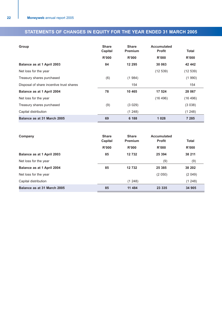### **STATEMENTS OF CHANGES IN EQUITY FOR THE YEAR ENDED 31 MARCH 2005**

| Group                                    | <b>Share</b><br>Capital | <b>Share</b><br><b>Premium</b> | Accumulated<br><b>Profit</b> | <b>Total</b> |
|------------------------------------------|-------------------------|--------------------------------|------------------------------|--------------|
|                                          | R'000                   | R'000                          | R'000                        | R'000        |
| Balance as at 1 April 2003               | 84                      | 12 295                         | 30 063                       | 42 442       |
| Net loss for the year                    |                         |                                | (12539)                      | (12539)      |
| Treasury shares purchased                | (6)                     | (1984)                         |                              | (1990)       |
| Disposal of share incentive trust shares |                         | 154                            |                              | 154          |
| Balance as at 1 April 2004               | 78                      | 10 4 65                        | 17 524                       | 28 067       |
| Net loss for the year                    |                         |                                | (16 496)                     | (16 496)     |
| Treasury shares purchased                | (9)                     | (3029)                         |                              | (3038)       |
| Capital distribution                     |                         | (1248)                         |                              | (1248)       |
| Balance as at 31 March 2005              | 69                      | 6 188                          | 1028                         | 7 285        |

| Company                     | <b>Share</b><br>Capital | <b>Share</b><br><b>Premium</b> | <b>Accumulated</b><br><b>Profit</b> | <b>Total</b> |
|-----------------------------|-------------------------|--------------------------------|-------------------------------------|--------------|
|                             | R'000                   | R'000                          | R'000                               | R'000        |
| Balance as at 1 April 2003  | 85                      | 12732                          | 25 3 94                             | 38 211       |
| Net loss for the year       |                         |                                | (9)                                 | (9)          |
| Balance as at 1 April 2004  | 85                      | 12732                          | 25 3 85                             | 38 202       |
| Net loss for the year       |                         |                                | (2 050)                             | (2049)       |
| Capital distribution        |                         | (1, 248)                       |                                     | (1248)       |
| Balance as at 31 March 2005 | 85                      | 11 484                         | 23 335                              | 34 905       |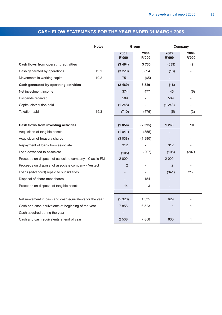### **CASH FLOW STATEMENTS FOR THE YEAR ENDED 31 MARCH 2005**

|                                                        | <b>Notes</b> |                      | Group         | Company                  |                          |  |
|--------------------------------------------------------|--------------|----------------------|---------------|--------------------------|--------------------------|--|
|                                                        |              | 2005<br><b>R'000</b> | 2004<br>R'000 | 2005<br>R'000            | 2004<br>R'000            |  |
| Cash flows from operating activities                   |              | (3464)               | 3730          | (639)                    | (9)                      |  |
| Cash generated by operations                           | 19.1         | (3 220)              | 3 8 9 4       | (18)                     |                          |  |
| Movements in working capital                           | 19.2         | 751                  | (65)          |                          | $\overline{\phantom{a}}$ |  |
| Cash generated by operating activities                 |              | (2469)               | 3829          | (18)                     | $\overline{\phantom{a}}$ |  |
| Net investment income                                  |              | 374                  | 477           | 43                       | (6)                      |  |
| Dividends received                                     |              | 589                  |               | 589                      |                          |  |
| Capital distribution paid                              |              | (1248)               |               | (1248)                   | $\overline{\phantom{0}}$ |  |
| Taxation paid                                          | 19.3         | (710)                | (576)         | (5)                      | (3)                      |  |
|                                                        |              |                      |               |                          |                          |  |
| Cash flows from investing activities                   |              | (1856)               | (2395)        | 1 2 6 8                  | 10                       |  |
| Acquisition of tangible assets                         |              | (1041)               | (355)         | $\overline{\phantom{0}}$ | $\overline{\phantom{0}}$ |  |
| Acquisition of treasury shares                         |              | (3038)               | (1990)        |                          |                          |  |
| Repayment of loans from associate                      |              | 312                  |               | 312                      |                          |  |
| Loan advanced to associate                             |              | (105)                | (207)         | (105)                    | (207)                    |  |
| Proceeds on disposal of associate company - Classic FM |              | 2 0 0 0              |               | 2 0 0 0                  |                          |  |
| Proceeds on disposal of associate company - Vestact    |              | 2                    |               | 2                        | $\overline{a}$           |  |
| Loans (advanced) repaid to subsidiaries                |              |                      |               | (941)                    | 217                      |  |
| Disposal of share trust shares                         |              |                      | 154           |                          |                          |  |
| Proceeds on disposal of tangible assets                |              | 14                   | 3             |                          | $\overline{\phantom{a}}$ |  |
|                                                        |              |                      |               |                          |                          |  |
| Net movement in cash and cash equivalents for the year |              | (5320)               | 1 3 3 5       | 629                      |                          |  |
| Cash and cash equivalents at beginning of the year     |              | 7858                 | 6 5 23        | 1                        | 1                        |  |
| Cash acquired during the year                          |              |                      |               |                          |                          |  |
| Cash and cash equivalents at end of year               |              | 2 5 3 8              | 7858          | 630                      | 1                        |  |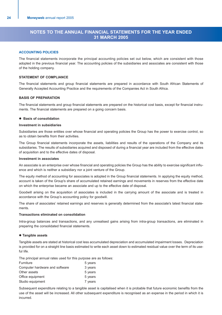### **NOTES TO THE ANNUAL FINANCIAL STATEMENTS FOR THE YEAR ENDED 31 MARCH 2005**

### **ACCOUNTING POLICIES**

The financial statements incorporate the principal accounting policies set out below, which are consistent with those adopted in the previous financial year. The accounting policies of the subsidiaries and associates are consistent with those of the holding company.

### **STATEMENT OF COMPLIANCE**

The financial statements and group financial statements are prepared in accordance with South African Statements of Generally Accepted Accounting Practice and the requirements of the Companies Act in South Africa.

### **BASIS OF PREPARATION**

The financial statements and group financial statements are prepared on the historical cost basis, except for financial instruments. The financial statements are prepared on a going concern basis.

### **• Basis of consolidation**

### **Investment in subsidiaries**

Subsidiaries are those entities over whose financial and operating policies the Group has the power to exercise control, so as to obtain benefits from their activities.

The Group financial statements incorporate the assets, liabilities and results of the operations of the Company and its subsidiaries. The results of subsidiaries acquired and disposed of during a financial year are included from the effective dates of acquisition and to the effective dates of disposal.

### **Investment in associates**

An associate is an enterprise over whose financial and operating policies the Group has the ability to exercise significant influence and which is neither a subsidiary nor a joint venture of the Group.

The equity method of accounting for associates is adopted in the Group financial statements. In applying the equity method, account is taken of the Group's share of accumulated retained earnings and movements in reserves from the effective date on which the enterprise became an associate and up to the effective date of disposal.

Goodwill arising on the acquisition of associates is included in the carrying amount of the associate and is treated in accordance with the Group's accounting policy for goodwill.

The share of associates' retained earnings and reserves is generally determined from the associate's latest financial statements.

### **Transactions eliminated on consolidation**

Intra-group balances and transactions, and any unrealised gains arising from intra-group transactions, are eliminated in preparing the consolidated financial statements.

### $\bullet$  **Tangible assets**

Tangible assets are stated at historical cost less accumulated depreciation and accumulated impairment losses. Depreciation is provided for on a straight line basis estimated to write each asset down to estimated residual value over the term of its useful life.

The principal annual rates used for this purpose are as follows:

| Furniture                      | 5 years |
|--------------------------------|---------|
| Computer hardware and software | 3 years |
| Other assets                   | 5 years |
| Office equipment               | 5 years |
| Studio equipment               | 7 years |

Subsequent expenditure relating to a tangible asset is capitalised when it is probable that future economic benefits from the use of the asset will be increased. All other subsequent expenditure is recognised as an expense in the period in which it is incurred.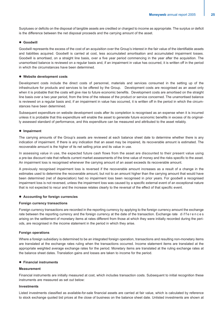Surpluses or deficits on the disposal of tangible assets are credited or charged to income as appropriate. The surplus or deficit is the difference between the net disposal proceeds and the carrying amount of the asset.

### $\bullet$  Goodwill

Goodwill represents the excess of the cost of an acquisition over the Group's interest in the fair value of the identifiable assets and liabilities acquired. Goodwill is carried at cost, less accumulated amortisation and accumulated impairment losses. Goodwill is amortised, on a straight line basis, over a five year period commencing in the year after the acquisition. The unamortised balance is reviewed on a regular basis and, if an impairment in value has occurred, it is written off in the period in which the circumstances have been determined.

### $\bullet$  Website development costs

Development costs include the direct costs of personnel, materials and services consumed in the setting up of the infrastructure for products and services to be offered by the Group. Development costs are recognised as an asset only when it is probable that the costs will give rise to future economic benefits. Development costs are amortised on the straight line basis over a two year period, from the time of the release of the product or service concerned. The unamortised balance is reviewed on a regular basis and, if an impairment in value has occurred, it is written off in the period in which the circumstances have been determined.

Subsequent expenditure on website development costs after its completion is recognised as an expense when it is incurred unless it is probable that this expenditure will enable the asset to generate future economic benefits in excess of its originally assessed standard of performance, and this expenditure can be measured and attributed to the asset reliably.

### $\bullet$  Impairment

The carrying amounts of the Group's assets are reviewed at each balance sheet date to determine whether there is any indication of impairment. If there is any indication that an asset may be impaired, its recoverable amount is estimated. The recoverable amount is the higher of its net selling price and its value in use.

In assessing value in use, the expected future cash flows from the asset are discounted to their present value using a pre-tax discount rate that reflects current market assessments of the time value of money and the risks specific to the asset. An impairment loss is recognised whenever the carrying amount of an asset exceeds its recoverable amount.

A previously recognised impairment loss is reversed if the recoverable amount increases as a result of a change in the estimates used to determine the recoverable amount, but not to an amount higher than the carrying amount that would have been determined (net of depreciation) had no impairment loss been recognised in prior years. For goodwill a recognised impairment loss is not reversed, unless the impairment loss was caused by a specific external event of an exceptional nature that is not expected to recur and the increase relates clearly to the reversal of the effect of that specific event.

### **• Accounting for foreign currencies**

### **Foreign currency transactions**

Foreign currency transactions are recorded in the reporting currency by applying to the foreign currency amount the exchange rate between the reporting currency and the foreign currency at the date of the transaction. Exchange rate differences arising on the settlement of monetary items at rates different from those at which they were initially recorded during the periods, are recognised in the income statement in the period in which they arise.

### **Foreign operations**

Where a foreign subsidiary is determined to be an integrated foreign operation, transactions and resulting non-monetary items are translated at the exchange rates ruling when the transactions occurred. Income statement items are translated at the appropriate weighted average exchange rates for the period. Monetary items are translated at the ruling exchange rates at the balance sheet dates. Translation gains and losses are taken to income for the period.

### **• Financial instruments**

### **Measurement**

Financial instruments are initially measured at cost, which includes transaction costs. Subsequent to initial recognition these instruments are measured as set out below:

### **Investments**

Listed investments classified as available-for-sale financial assets are carried at fair value, which is calculated by reference to stock exchange quoted bid prices at the close of business on the balance sheet date. Unlisted investments are shown at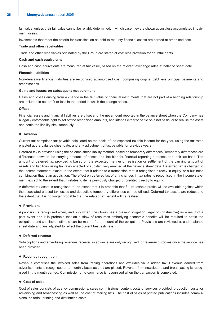fair value, unless their fair value cannot be reliably determined, in which case they are shown at cost less accumulated impairment losses.

Investments that meet the criteria for classification as held-to-maturity financial assets are carried at amortised cost.

### **Trade and other receivables**

Trade and other receivables originated by the Group are stated at cost less provision for doubtful debts.

### **Cash and cash equivalents**

Cash and cash equivalents are measured at fair value, based on the relevant exchange rates at balance sheet date.

### **Financial liabilities**

Non-derivative financial liabilities are recognised at amortised cost, comprising original debt less principal payments and amortisations.

### **Gains and losses on subsequent measurement**

Gains and losses arising from a change in the fair value of financial instruments that are not part of a hedging relationship are included in net profit or loss in the period in which the change arises.

### **Offset**

Financial assets and financial liabilities are offset and the net amount reported in the balance sheet when the Company has a legally enforceable right to set off the recognised amounts, and intends either to settle on a net basis, or to realise the asset and settle the liability simultaneously.

### **• Taxation**

Current tax comprises tax payable calculated on the basis of the expected taxable income for the year, using the tax rates enacted at the balance sheet date, and any adjustment of tax payable for previous years.

Deferred tax is provided using the balance sheet liability method, based on temporary differences. Temporary differences are differences between the carrying amounts of assets and liabilities for financial reporting purposes and their tax base. The amount of deferred tax provided is based on the expected manner of realisation or settlement of the carrying amount of assets and liabilities using tax rates enacted or substantively enacted at the balance sheet date. Deferrred tax is charged to the income statement except to the extent that it relates to a transaction that is recognised directly in equity, or a business combination that is an acquisition. The effect on deferred tax of any changes in tax rates is recognised in the income statement, except to the extent that it relates to items previously charged or credited directly to equity.

A deferred tax asset is recognised to the extent that it is probable that future taxable profits will be available against which the associated unused tax losses and deductible temporary differences can be utilised. Deferred tax assets are reduced to the extent that it is no longer probable that the related tax benefit will be realised.

### **• Provisions**

A provision is recognised when, and only when, the Group has a present obligation (legal or constructive) as a result of a past event and it is probable that an outflow of resources embodying economic benefits will be required to settle the obligation, and a reliable estimate can be made of the amount of the obligation. Provisions are reviewed at each balance sheet date and are adjusted to reflect the current best estimate.

### **• Deferred revenue**

Subscriptions and advertising revenues received in advance are only recognised for revenue purposes once the service has been provided.

### **• Revenue recognition**

Revenue comprises the invoiced sales from trading operations and excludes value added tax. Revenue earned from advertisements is recognised on a monthly basis as they are placed. Revenue from newsletters and broadcasting is recognised in the month earned. Commission on e-commerce is recognised when the transaction is completed.

### ● Cost of sales

Cost of sales consists of agency commissions, sales commissions, content costs of services provided, production costs for advertising and broadcasting as well as the cost of mailing lists. The cost of sales of printed publications includes commissions, editorial, printing and distribution costs.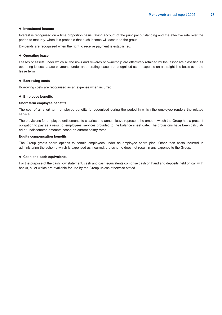### $\bullet$  Investment income

Interest is recognised on a time proportion basis, taking account of the principal outstanding and the effective rate over the period to maturity, when it is probable that such income will accrue to the group.

Dividends are recognised when the right to receive payment is established.

### $\bullet$  Operating lease

Leases of assets under which all the risks and rewards of ownership are effectively retained by the lessor are classified as operating leases. Lease payments under an operating lease are recognised as an expense on a straight-line basis over the lease term.

### $\bullet$  **Borrowing costs**

Borrowing costs are recognised as an expense when incurred.

### $\bullet$  Employee benefits

### **Short term employee benefits**

The cost of all short term employee benefits is recognised during the period in which the employee renders the related service.

The provisions for employee entitlements to salaries and annual leave represent the amount which the Group has a present obligation to pay as a result of employees' services provided to the balance sheet date. The provisions have been calculated at undiscounted amounts based on current salary rates.

### **Equity compensation benefits**

The Group grants share options to certain employees under an employee share plan. Other than costs incurred in administering the scheme which is expensed as incurred, the scheme does not result in any expense to the Group.

### **• Cash and cash equivalents**

For the purpose of the cash flow statement, cash and cash equivalents comprise cash on hand and deposits held on call with banks, all of which are available for use by the Group unless otherwise stated.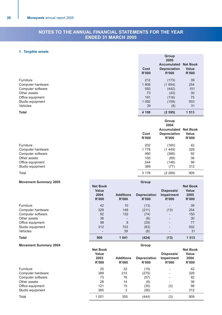### **NOTES TO THE ANNUAL FINANCIAL STATEMENTS FOR THE YEAR ENDED 31 MARCH 2005**

### **1. Tangible assets**

|                   |                      | Group<br>2005<br><b>Accumulated</b>                                        | <b>Net Book</b>                          |  |
|-------------------|----------------------|----------------------------------------------------------------------------|------------------------------------------|--|
|                   | Cost<br><b>R'000</b> | <b>Depreciation</b><br><b>R'000</b>                                        | <b>Value</b><br><b>R'000</b>             |  |
| Furniture         | 212                  | (173)                                                                      | 39                                       |  |
| Computer hardware | 1 908                | (1654)                                                                     | 254                                      |  |
| Computer software | 593                  | (442)                                                                      | 151                                      |  |
| Other assets      | 73                   | (43)                                                                       | 30                                       |  |
| Office equipment  | 191                  | (116)                                                                      | 75                                       |  |
| Studio equipment  | 1 0 9 2              | (159)                                                                      | 933                                      |  |
| <b>Vehicles</b>   | 39                   | (8)                                                                        | 31                                       |  |
| <b>Total</b>      | 4 108                | (2595)                                                                     | 1 5 1 3                                  |  |
|                   | Cost<br><b>R'000</b> | Group<br>2004<br><b>Accumulated</b><br><b>Depreciation</b><br><b>R'000</b> | <b>Net Book</b><br>Value<br><b>R'000</b> |  |
| Furniture         | 202                  | (160)                                                                      | 42                                       |  |
| Computer hardware | 1778                 | (1449)                                                                     | 329                                      |  |
| Computer software | 460                  | (368)                                                                      | 92                                       |  |
| Other assets      | 105                  | (69)                                                                       | 36                                       |  |
| Office equipment  | 244                  |                                                                            |                                          |  |
|                   |                      | (146)                                                                      | 98                                       |  |

### Total 3 178 (2 269) 909

### **Movement Summary 2005** Group

|                   | <b>Net Book</b><br><b>Value</b><br>2004<br>R'000 | <b>Additions</b><br>R'000 | <b>Depreciation</b><br>R'000 | Disposals/<br><b>Impairment</b><br><b>R'000</b> | <b>Net Book</b><br><b>Value</b><br>2005<br>R'000 |
|-------------------|--------------------------------------------------|---------------------------|------------------------------|-------------------------------------------------|--------------------------------------------------|
| Furniture         | 42                                               | 10                        | (13)                         | $\overline{\phantom{0}}$                        | 39                                               |
| Computer hardware | 329                                              | 149                       | (211)                        | (13)                                            | 254                                              |
| Computer software | 92                                               | 132                       | (74)                         |                                                 | 150                                              |
| Other assets      | 36                                               | $\overline{\phantom{0}}$  | (6)                          | $\overline{\phantom{0}}$                        | 30                                               |
| Office equipment  | 98                                               | 8                         | (29)                         | $\overline{\phantom{0}}$                        | 77                                               |
| Studio equipment  | 312                                              | 703                       | (83)                         | $\overline{\phantom{0}}$                        | 932                                              |
| <b>Vehicles</b>   |                                                  | 39                        | (8)                          |                                                 | 31                                               |
| <b>Total</b>      | 909                                              | 1 0 4 1                   | (424)                        | (13)                                            | 1 5 1 3                                          |

### **Movement Summary 2004 Motion Research Summary 2004 Group**

|                   | <b>Net Book</b><br><b>Value</b><br>2003<br>R'000 | <b>Additions</b><br>R'000 | <b>Depreciation</b><br>R'000 | Disposals/<br><b>Impairment</b><br>R'000 | <b>Net Book</b><br><b>Value</b><br>2004<br>R'000 |
|-------------------|--------------------------------------------------|---------------------------|------------------------------|------------------------------------------|--------------------------------------------------|
| Furniture         | 25                                               | 32                        | (15)                         | $\overline{\phantom{a}}$                 | 42                                               |
| Computer hardware | 389                                              | 215                       | (275)                        | $\overline{\phantom{0}}$                 | 329                                              |
| Computer software | 73                                               | 76                        | (57)                         | $\overline{\phantom{a}}$                 | 92                                               |
| Other assets      | 28                                               | 14                        | (6)                          | $\overline{\phantom{a}}$                 | 36                                               |
| Office equipment  | 121                                              | 15                        | (35)                         | (3)                                      | 98                                               |
| Studio equipment  | 365                                              | 3                         | (56)                         | $\overline{\phantom{a}}$                 | 312                                              |
| Total             | 1 0 0 1                                          | 355                       | (444)                        | (3)                                      | 909                                              |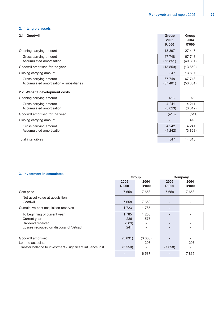### **2. Intangible assets**

| 2.1. | Goodwil |  |
|------|---------|--|
|------|---------|--|

| 2.1. Goodwil                                                     | Group<br>2005<br>R'000 | Group<br>2004<br>R'000 |
|------------------------------------------------------------------|------------------------|------------------------|
| Opening carrying amount                                          | 13 897                 | 27 447                 |
| Gross carrying amount<br>Accumulated amortisation                | 67 748<br>(53 851)     | 67 748<br>(40301)      |
| Goodwill amortised for the year                                  | (13550)                | (13 550)               |
| Closing carrying amount                                          | 347                    | 13 897                 |
| Gross carrying amount<br>Accumulated amortisation - subsidiaries | 67 748<br>(67401)      | 67 748<br>(53 851)     |
| 2.2. Website development costs                                   |                        |                        |
| Opening carrying amount                                          | 418                    | 929                    |
| Gross carrying amount<br>Accumulated amortisation                | 4 2 4 1<br>(3823)      | 4 2 4 1<br>(3312)      |
| Goodwill amortised for the year                                  | (418)                  | (511)                  |
| Closing carrying amount                                          |                        | 418                    |
| Gross carrying amount<br>Accumulated amortisation                | 4 2 4 2<br>(4 242)     | 4 2 4 1<br>(3823)      |
| Total intangibles                                                | 347                    | 14 315                 |

### **3. Investment in associates**

| J. IIIVESUIIEIIL III ASSUUIALES                                                                             | Group                       |                          | Company       |               |
|-------------------------------------------------------------------------------------------------------------|-----------------------------|--------------------------|---------------|---------------|
|                                                                                                             | 2005<br>R'000               | 2004<br>R'000            | 2005<br>R'000 | 2004<br>R'000 |
| Cost price                                                                                                  | 7 6 5 8                     | 7658                     | 7 6 5 8       | 7658          |
| Net asset value at acquisition<br>Goodwill                                                                  | 7 6 5 8                     | 7 6 5 8                  |               |               |
| Cumulative post acquisition reserves                                                                        | 1 7 2 3                     | 1785                     |               |               |
| To beginning of current year<br>Current year<br>Dividend received<br>Losses recouped on disposal of Vetsact | 1785<br>286<br>(589)<br>241 | 1 208<br>577             |               |               |
| Goodwill amortised<br>Loan to associate<br>Transfer balance to investment - significant influence lost      | (3831)<br>(5 550)           | (3063)<br>207<br>6 5 8 7 | (7658)        | 207<br>7865   |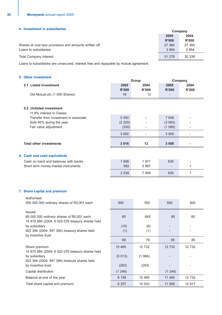### **4. Investment in subsidiaries Company**

|                                                        | <b>COLLIDALIV</b> |         |
|--------------------------------------------------------|-------------------|---------|
|                                                        | 2005              | 2004    |
|                                                        | R'000             | R'000   |
| Shares at cost less provisions and amounts written off | 27 384            | 27 384  |
| Loans to subsidiaries                                  | 3894              | 2 9 5 4 |
| <b>Total Company interest</b>                          | 31 278            | 30 338  |
|                                                        |                   |         |

Loans to subsidiaries are unsecured, interest free and repayable by mutual agreement.

### **5. Other investment**

|                                |                                       | Group         |                      | Company       |                          |
|--------------------------------|---------------------------------------|---------------|----------------------|---------------|--------------------------|
| 5.1 Listed investment          |                                       | 2005<br>R'000 | 2004<br><b>R'000</b> | 2005<br>R'000 | 2004<br>R'000            |
|                                | Old Mutual plc (1 000 Shares)         | 16            | 12                   | -             | $\overline{\phantom{a}}$ |
| 5.2 Unlisted investment        | 11,8% interest in Classic             |               |                      |               |                          |
|                                | Transfer from Investment in associate | 5 5 5 0       |                      | 7 6 5 8       |                          |
|                                | Sold 40% during the year              | (2 220)       |                      | (3063)        |                          |
|                                | Fair value adjustment                 | (330)         |                      | (1595)        |                          |
|                                |                                       | 3 0 0 0       |                      | 3 0 0 0       |                          |
| <b>Total other investments</b> |                                       | 3 0 1 6       | 12                   | 3 0 0 0       |                          |
| 6. Cash and cash equivalents   |                                       |               |                      |               |                          |
|                                | Cash on hand and balances with banks  | 1956          | 1971                 | 630           |                          |
|                                | Short term money-market instruments   | 582           | 5887                 |               | 1                        |
|                                |                                       | 2 5 3 8       | 7858                 | 630           | 1                        |
|                                |                                       |               |                      |               |                          |

### **7. Share capital and premium**

Authorised

500 000 000 ordinary shares of R0,001 each 500 500 500 500

Issued 85 000 000 ordinary shares of R0,001 each 85 85 85 85 85 85 85 14 870 884 (2004: 6 020 076 treasury shares held by subsidiary  $(15)$   $(6)$ 922 394 (2004: 947 394) treasury shares held (1) (1) (1) by incentive trust

69 78 85 85 Share premium 10 465 12 732 12 732 12 732 14 870 884 (2004: 6 020 076 treasury shares held by subsidiary  $(5 013)$   $(1 984)$ 922 394 (2004: 947 394) treasure shares held by incentive trust the control of the control of the control of the control of the control of the control of the control of the control of the control of the control of the control of the control of the control of the cont Capital distribution (1 248) (1 248) (1 248) Balance at end of the year **6 188** 10 465 11 484 12 732 Total share capital and premium 10 6 257 10 543 11 569 12 817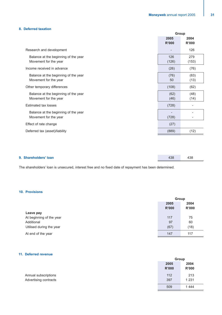### **8. Deferred taxation**

|                                                               | Group         |                          |
|---------------------------------------------------------------|---------------|--------------------------|
|                                                               | 2005<br>R'000 | 2004<br>R'000            |
| Research and development                                      |               | 126                      |
| Balance at the beginning of the year<br>Movement for the year | 126<br>(126)  | 279<br>(153)             |
| Income received in advance                                    | (26)          | (76)                     |
| Balance at the beginning of the year<br>Movement for the year | (76)<br>50    | (63)<br>(13)             |
| Other temporary differences                                   | (108)         | (62)                     |
| Balance at the beginning of the year<br>Movement for the year | (62)<br>(46)  | (48)<br>(14)             |
| Estimated tax losses                                          | (728)         | $\overline{\phantom{a}}$ |
| Balance at the beginning of the year<br>Movement for the year | (728)         |                          |
| Effect of rate change                                         | (27)          |                          |
| Deferred tax (asset)/liability                                | (889)         | (12)                     |
|                                                               |               |                          |

| 9. Shareholders' Ioan | 438 | 438 |  |
|-----------------------|-----|-----|--|
|                       |     |     |  |

The shareholders' loan is unsecured, interest free and no fixed date of repayment has been determined.

### **10. Provisions**

|                          | Group |       |
|--------------------------|-------|-------|
|                          | 2005  | 2004  |
|                          | R'000 | R'000 |
| Leave pay                |       |       |
| At beginning of the year | 117   | 75    |
| Additional               | 97    | 60    |
| Utilised during the year | (67)  | (18)  |
| At end of the year       | 147   | 117   |

### **11. Deferred revenue**

|                       | Group                |                      |
|-----------------------|----------------------|----------------------|
|                       | 2005<br><b>R'000</b> | 2004<br><b>R'000</b> |
| Annual subscriptions  | 112                  | 213                  |
| Advertising contracts | 397                  | 1 2 3 1              |
|                       | 509                  | 1444                 |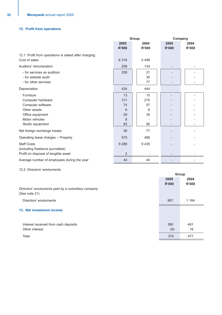### **12. Profit from operations**

|                                                       | Group   |              | Company      |              |
|-------------------------------------------------------|---------|--------------|--------------|--------------|
|                                                       | 2005    | 2004         | 2005         | 2004         |
|                                                       | R'000   | <b>R'000</b> | <b>R'000</b> | <b>R'000</b> |
| 12.1 Profit from operations is stated after charging: |         |              |              |              |
| Cost of sales                                         | 6 3 1 6 | 5499         |              |              |
| Auditors' remuneration                                | 208     | 134          |              |              |
| - for services as auditors                            | 208     | 21           |              |              |
| - for website audit                                   |         | 30           |              |              |
| - for other services                                  |         | 77           |              |              |
| Depreciation                                          | 424     | 444          |              |              |
| Furniture                                             | 13      | 15           |              |              |
| Computer hardware                                     | 211     | 275          |              |              |
| Computer software                                     | 74      | 57           |              |              |
| Other assets                                          | 6       | 6            |              |              |
| Office equipment                                      | 29      | 35           |              |              |
| Motor vehicles                                        | 8       |              |              |              |
| Studio equipment                                      | 83      | 56           |              |              |
| Net foreign exchange losses                           | 36      | 77           |              |              |
| Operating lease charges - Property                    | 570     | 466          |              |              |
| <b>Staff Costs</b>                                    | 9 2 8 8 | 9 4 3 5      |              |              |
| (including freelance journalists)                     |         |              |              |              |
| Profit on disposal of tangible asset                  | 2       |              |              |              |
| Average number of employees during the year           | 44      | 44           |              |              |

12.2 Directors' emoluments

|                                                                     |               | Group                |
|---------------------------------------------------------------------|---------------|----------------------|
|                                                                     | 2005<br>R'000 | 2004<br><b>R'000</b> |
| Directors' emoluments paid by a subsidiary company<br>(See note 21) |               |                      |
| Directors' emoluments                                               | 957           | 1 1 6 4              |
| 13. Net investment income                                           |               |                      |
| Interest received from cash deposits<br>Other interest              | 380<br>(6)    | 461<br>16            |
| Total                                                               | 374           | 477                  |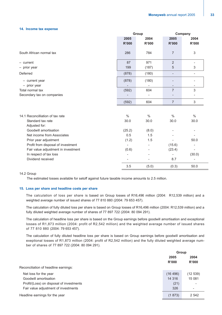### **14. Income tax expense**

|                                     | Group         |                          | Company                  |                              |
|-------------------------------------|---------------|--------------------------|--------------------------|------------------------------|
|                                     | 2005          | 2004                     | 2005                     | 2004                         |
|                                     | <b>R'000</b>  | <b>R'000</b>             | <b>R'000</b>             | <b>R'000</b>                 |
| South African normal tax            | 286           | 784                      | $\overline{7}$           | 3                            |
| $-$ current                         | 87            | 971                      | $\overline{2}$           | $\qquad \qquad -$            |
| - prior year                        | 199           | (187)                    | 5                        | 3                            |
| Deferred                            | (878)         | (180)                    | $\overline{\phantom{a}}$ | $\qquad \qquad \blacksquare$ |
| - current year                      | (878)         | (180)                    | $\overline{a}$           | $\overline{a}$               |
| - prior year                        |               |                          | $\overline{\phantom{a}}$ | $\overline{\phantom{0}}$     |
| Total normal tax                    | (592)         | 604                      | $\overline{7}$           | $\sqrt{3}$                   |
| Secondary tax on companies          |               | $\overline{\phantom{0}}$ | $\overline{\phantom{0}}$ | ۰                            |
|                                     | (592)         | 604                      | $\overline{7}$           | $\sqrt{3}$                   |
|                                     |               |                          |                          |                              |
| 14.1 Reconcilliation of tax rate    | $\frac{0}{0}$ | $\%$                     | $\%$                     | $\%$                         |
| Standard tax rate                   | 30.0          | 30.0                     | 30.0                     | 30.0                         |
| Adjusted for:                       |               |                          |                          |                              |
| Goodwill amortisation               | (25.2)        | (8.0)                    |                          |                              |
| Net income from Associates          | 0.5           | 1.5                      |                          |                              |
| Prior year adjustment               | (1.2)         | 1.5                      |                          | 50.0                         |
| Profit from disposal of investment  |               | $\overline{\phantom{a}}$ | (15.6)                   |                              |
| Fair value adjustment in investment | (0.6)         |                          | (23.4)                   | $\overline{a}$               |
| In respect of tax loss              |               | $\overline{\phantom{0}}$ | ÷                        | (30.0)                       |
| Dividend received                   |               |                          | 8.7                      |                              |
|                                     | 3.5           | (5.0)                    | (0.3)                    | 50.0                         |

### 14.2 Group

The estimated losses available for setoff against future taxable income amounts to 2.5 million.

### **15. Loss per share and headline costs per share**

The calculation of loss per share is based on Group losses of R16,496 million (2004: R12,539 million) and a weighted average number of issued shares of 77 810 880 (2004: 79 653 457).

The calculation of fully diluted loss per share is based on Group losses of R16,496 million (2004: R12,539 million) and a fully diluted weighted average number of shares of 77 897 722 (2004: 80 094 291).

The calculation of headline loss per share is based on the Group earnings before goodwill amortisation and exceptional losses of R1,873 million (2004: profit of R2,542 million) and the weighted average number of issued shares of 77 810 880 (2004: 79 653 457).

The calculation of fully diluted headline loss per share is based on Group earnings before goodwill amortisation and exeptional losses of R1,873 million (2004: profit of R2,542 million) and the fully diluted weighted average number of shares of 77 897 722 (2004: 80 094 291).

|                                          | Group         |                          |  |
|------------------------------------------|---------------|--------------------------|--|
|                                          | 2005<br>R'000 | 2004<br>R'000            |  |
| Reconciliation of headline earnings:     |               |                          |  |
| Net loss for the year                    | (16 496)      | (12539)                  |  |
| Goodwill amortisation                    | 14 316        | 15 081                   |  |
| Profit/(Loss) on disposal of investments | (21)          |                          |  |
| Fair value adjustment of investments     | 326           | $\overline{\phantom{a}}$ |  |
| Headline earnings for the year           | (1873)        | 2 5 4 2                  |  |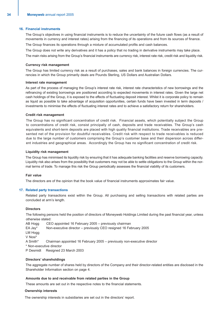### **16. Financial instruments**

The Group's objectives in using financial instruments is to reduce the uncertainty of the future cash flows (as a result of movements in currency and interest rates) arising from the financing of its operations and from its sources of finance. The Group finances its operations through a mixture of accumulated profits and cash balances.

The Group does not write any derivatives and it has a policy that no trading in derivative instruments may take place.

The main risks arising from the Group's financial instruments are currency risk, interest rate risk, credit risk and liquidity risk.

### **Currency risk management**

The Group has limited currency risk as a result of purchases, sales and bank balances in foreign currencies. The currencies in which the Group primarily deals are Pounds Sterling, US Dollars and Australian Dollars.

### **Interest rate management**

As part of the process of managing the Group's interest rate risk, interest rate characteristics of new borrowings and the refinancing of existing borrowings are positioned according to expected movements in interest rates. Given the large net cash holdings of the Group, it is exposed to the effects of fluctuating deposit interest. Whilst it is corporate policy to remain as liquid as possible to take advantage of acquisition opportunities, certain funds have been invested in term deposits / investments to minimise the effects of fluctuating interest rates and to achieve a satisfactory return for shareholders.

### **Credit risk management**

The Group has no significant concentration of credit risk. Financial assets, which potentially subject the Group to concentrations of credit risk, consist principally of cash, deposits and trade receivables. The Group's cash equivalents and short-term deposits are placed with high quality financial institutions. Trade receivables are presented net of the provision for doubtful receivables. Credit risk with respect to trade receivables is reduced due to the large number of customers comprising the Group's customer base and their dispersion across different industries and geographical areas. Accordingly the Group has no significant concentration of credit risk.

### **Liquidity risk management**

The Group has minimised its liquidity risk by ensuring that it has adequate banking facilities and reserve borrowing capacity. Liquidity risk also arises from the possibility that customers may not be able to settle obligations to the Group within the normal terms of trade. To manage this risk the Group periodically assesses the financial viability of its customers.

### **Fair value**

The directors are of the opinion that the book value of financial instruments approximates fair value.

### **17. Related party transactions**

Related party transactions exist within the Group. All purchasing and selling transactions with related parties are concluded at arm's length.

### **Directors**

The following persons held the position of directors of Moneyweb Holdings Limited during the past financial year, unless otherwise stated:

AB Hogg CEO appointed 16 February 2005 – previously chairman

EA Jay\* Non-executive director – previously CEO resigned 16 February 2005

LM Hogg

V Nosi\*

A Smith\* Chairman appointed 16 February 2005 – previously non-executive director

\* Non-executive director

P Desmidt Resigned 23 March 2003

### **Directors' shareholdings**

The aggregate number of shares held by directors of the Company and their director-related entities are disclosed in the Shareholder Information section on page 4.

### **Amounts due to and receivable from related parties in the Group**

These amounts are set out in the respective notes to the financial statements.

### **Ownership interests**

The ownership interests in subsidiaries are set out in the directors' report.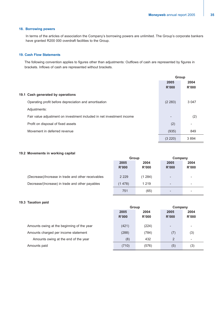### **18. Borrowing powers**

In terms of the articles of association the Company's borrowing powers are unlimited. The Group's corporate bankers have granted R200 000 overdraft facilities to the Group.

### **19. Cash Flow Statements**

The following convention applies to figures other than adjustments: Outflows of cash are represented by figures in brackets. Inflows of cash are represented without brackets.

|                                                                       | Group   |                          |
|-----------------------------------------------------------------------|---------|--------------------------|
|                                                                       | 2005    | 2004                     |
|                                                                       | R'000   | R'000                    |
| 19.1 Cash generated by operations                                     |         |                          |
| Operating profit before depreciation and amortisation                 | (2 283) | 3 0 4 7                  |
| Adjustments:                                                          |         |                          |
| Fair value adjustment on investment included in net investment income |         | (2)                      |
| Profit on disposal of fixed assets                                    | (2)     | $\overline{\phantom{a}}$ |
| Movement in deferred revenue                                          | (935)   | 849                      |
|                                                                       | (3 220) | 3894                     |

### **19.2 Movements in working capital**

|                                                    | <b>Group</b>                   |         | Company                  |                          |
|----------------------------------------------------|--------------------------------|---------|--------------------------|--------------------------|
|                                                    | 2005<br>2004<br>R'000<br>R'000 |         | 2005<br>R'000            | 2004<br>R'000            |
|                                                    |                                |         |                          |                          |
| (Decrease)/Increase in trade and other receivables | 2 2 2 9                        | (1284)  | -                        | -                        |
| Decrease/(Increase) in trade and other payables    | (1478)                         | 1 2 1 9 | $\overline{\phantom{0}}$ | $\overline{\phantom{a}}$ |
|                                                    | 751                            | (65)    | -                        |                          |

### **19.3 Taxation paid**

|                                            | Group        |       | Company                  |                          |  |
|--------------------------------------------|--------------|-------|--------------------------|--------------------------|--|
|                                            | 2005<br>2004 |       | 2005<br>2004             |                          |  |
|                                            | R'000        | R'000 | R'000                    | R'000                    |  |
|                                            |              |       |                          |                          |  |
| Amounts owing at the beginning of the year | (421)        | (224) | $\overline{\phantom{0}}$ | $\overline{\phantom{a}}$ |  |
| Amounts charged per income statement       | (288)        | (784) | (7)                      | (3)                      |  |
| Amounts owing at the end of the year       | (8)          | 432   | $\overline{2}$           | $\overline{\phantom{a}}$ |  |
| Amounts paid                               | (710)        | (576) | (5)                      | (3)                      |  |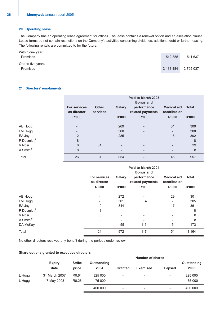### **20. Operating lease**

The Company has an operating lease agreement for offices. The lease contains a renewal option and an escalation clause. Lease terms do not contain restrictions on the Company's activities concerning dividends, additional debt or further leasing. The following rentals are committed to for the future:

| Within one year<br>- Premises   | 542 855   | 511 637   |
|---------------------------------|-----------|-----------|
| One to five years<br>- Premises | 2 133 484 | 2 705 037 |

### **21. Directors' emoluments**

|                        | <b>For services</b><br>as director<br>R'000 | <b>Other</b><br>services | <b>Salary</b><br>R'000   | Paid to March 2005<br><b>Bonus and</b><br>performance<br>related payments<br><b>R'000</b> | <b>Medical aid</b><br>contribution<br>R'000 | <b>Total</b><br><b>R'000</b> |
|------------------------|---------------------------------------------|--------------------------|--------------------------|-------------------------------------------------------------------------------------------|---------------------------------------------|------------------------------|
| AB Hogg                |                                             |                          | 269                      |                                                                                           | 31                                          | 300                          |
| LM Hogg                |                                             |                          | 300                      |                                                                                           | $\overline{\phantom{a}}$                    | 300                          |
| EA Jay                 | $\overline{2}$                              |                          | 285                      |                                                                                           | 15                                          | 302                          |
| P Desmidt <sup>+</sup> | 8                                           |                          | $\overline{\phantom{0}}$ |                                                                                           | $\overline{\phantom{a}}$                    | 8                            |
| V Nosi <sup>+</sup>    | 8                                           | 31                       | $\overline{\phantom{0}}$ |                                                                                           | $\overline{\phantom{a}}$                    | 39                           |
| A Smith <sup>+</sup>   | 8                                           |                          | $\overline{\phantom{a}}$ |                                                                                           | $\overline{\phantom{a}}$                    | 8                            |
| Total                  | 26                                          | 31                       | 854                      |                                                                                           | 46                                          | 957                          |

|                        | Paid to March 2004<br><b>Bonus and</b> |                          |                                 |                                    |              |  |  |
|------------------------|----------------------------------------|--------------------------|---------------------------------|------------------------------------|--------------|--|--|
|                        | For services<br>as director            | <b>Salary</b>            | performance<br>related payments | <b>Medical aid</b><br>contribution | <b>Total</b> |  |  |
|                        | R'000                                  | R'000                    | <b>R'000</b>                    | R'000                              | <b>R'000</b> |  |  |
| AB Hogg                | $\overline{\phantom{a}}$               | 272                      | $\overline{\phantom{a}}$        | 29                                 | 301          |  |  |
| LM Hogg                | $\overline{\phantom{a}}$               | 301                      | 4                               | -                                  | 305          |  |  |
| EA Jay                 | 0                                      | 344                      |                                 | 17                                 | 361          |  |  |
| P Desmidt <sup>+</sup> | 8                                      | $\overline{\phantom{a}}$ | $\overline{\phantom{a}}$        | $\overline{\phantom{a}}$           | 8            |  |  |
| V Nosi <sup>+</sup>    | 8                                      | $\overline{\phantom{a}}$ |                                 |                                    | 8            |  |  |
| A Smith <sup>+</sup>   | 8                                      | $\overline{\phantom{a}}$ | $\overline{\phantom{0}}$        | -                                  | 8            |  |  |
| DA McKay               |                                        | 55                       | 113                             | 5                                  | 173          |  |  |
| Total                  | 24                                     | 972                      | 117                             | 51                                 | 1 1 6 4      |  |  |

No other directors received any benefit during the periods under review

### **Share options granted to executive directors**

|        |                       |                        |                            | <b>Number of shares</b>  |                          |                          |                     |  |
|--------|-----------------------|------------------------|----------------------------|--------------------------|--------------------------|--------------------------|---------------------|--|
|        | <b>Expiry</b><br>date | <b>Strike</b><br>price | <b>Outstanding</b><br>2004 | <b>Granted</b>           | <b>Exercised</b>         | Lapsed                   | Outstanding<br>2005 |  |
| L Hogg | 31 March 2007         | R <sub>0.64</sub>      | 325 000                    | ٠                        | ۰                        | -                        | 325 000             |  |
| L Hogg | 7 May 2008            | R <sub>0</sub> ,26     | 75 000                     | $\overline{\phantom{a}}$ | $\overline{\phantom{0}}$ | $\overline{\phantom{a}}$ | 75 000              |  |
|        |                       |                        | 400 000                    | $\overline{\phantom{a}}$ | $\overline{\phantom{a}}$ | $\overline{\phantom{a}}$ | 400 000             |  |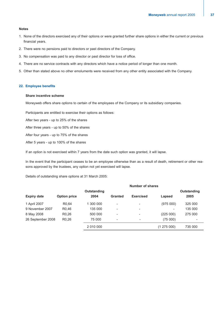### **Notes**

- 1. None of the directors exercised any of their options or were granted further share options in either the current or previous financial years.
- 2. There were no pensions paid to directors or past directors of the Company.
- 3. No compensation was paid to any director or past director for loss of office.
- 4. There are no service contracts with any directors which have a notice period of longer than one month.
- 5. Other than stated above no other emoluments were received from any other entity associated with the Company.

### **22. Employee benefits**

### **Share incentive scheme**

Moneyweb offers share options to certain of the employees of the Company or its subsidiary companies.

Participants are entitled to exercise their options as follows:

After two years - up to 25% of the shares

After three years - up to 50% of the shares

After four years - up to 75% of the shares

After 5 years - up to 100% of the shares

If an option is not exercised within 7 years from the date such option was granted, it will lapse.

In the event that the participant ceases to be an employee otherwise than as a result of death, retirement or other reasons approved by the trustees, any option not yet exercised will lapse.

Details of outstanding share options at 31 March 2005:

|                    |                     |             |                          | <b>Number of shares</b>  |           |             |
|--------------------|---------------------|-------------|--------------------------|--------------------------|-----------|-------------|
|                    |                     | Outstanding |                          |                          |           | Outstanding |
| <b>Expiry date</b> | <b>Option price</b> | 2004        | Granted                  | <b>Exercised</b>         | Lapsed    | 2005        |
| 1 April 2007       | R <sub>0.64</sub>   | 1 300 000   | ٠                        |                          | (975000)  | 325 000     |
| 9 November 2007    | R <sub>0.46</sub>   | 135 000     | $\overline{\phantom{a}}$ | -                        | -         | 135 000     |
| 8 May 2008         | R <sub>0</sub> ,26  | 500 000     | $\overline{\phantom{a}}$ |                          | (225000)  | 275 000     |
| 26 September 2008  | R <sub>0</sub> ,26  | 75 000      | $\overline{\phantom{a}}$ | $\overline{\phantom{a}}$ | (75000)   | -           |
|                    |                     | 2 010 000   |                          |                          | (1275000) | 735 000     |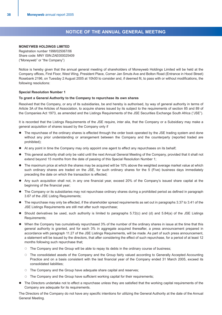### **NOTICE OF THE ANNUAL GENERAL MEETING**

### **MONEYWEB HOLDINGS LIMITED**

Registration number 1998/025067/06 Share code: MNY ISIN:ZAE000025409 ("Moneyweb" or "the Company")

Notice is hereby given that the annual general meeting of shareholders of Moneyweb Holdings Limited will be held at the Company offices, First Floor, West Wing, President Place, Corner Jan Smuts Ave and Bolton Road (Entrance in Hood Street) Rosebank 2196, on Tuesday 2 August 2005 at 10h00 to consider and, if deemed fit, to pass with or without modifications, the following resolutions:

### **Special Resolution Number 1**

### **To grant a General Authority to the Company to repurchase its own shares**

Resolved that the Company, or any of its subsidiaries, be and hereby is authorised, by way of general authority in terms of Article 3A of the Articles of Association, to acquire shares issued by its subject to the requirements of section 85 and 89 of the Companies Act 1973, as amended and the Listings Requirements of the JSE Securities Exchange South Africa ("JSE").

It is recorded that the Listings Requirements of the JSE require, inter alia, that the Company or a Subsidiary may make a general acquisition of shares issued by the Company only if

- The repurchase of the ordinary shares is effected through the order book operated by the JSE trading system and done without any prior understanding or arrangement between the Company and the counterparty (reported traded are prohibited);
- At any point in time the Company may only appoint one agent to effect any repurchases on its behalf;
- z This general authority shall only be valid until the next Annual General Meeting of the Company, provided that it shall not extend beyond 15 months from the date of passing of this Special Resolution Number 1;
- The maximum price at which the shares may be acquired will be 10% above the weighted average market value at which such ordinary shares are traded on the JSE, for such ordinary shares for the 5 (Five) business days immediately preceding the date on which the transaction is effected;
- Any such acquisition shall not, in any one financial year, exceed 20% of the Company's issued share capital at the beginning of the financial year;
- The Company or its subsidiaries may not repurchase ordinary shares during a prohibited period as defined in paragraph 3.67 of the JSE Listing Requirements;
- The repurchase may only be effected, if the shareholder spread requirements as set out in paragraphs 3.37 to 3.41 of the JSE Listings Requirements are still met after such repurchase;
- Should derivatives be used, such authority is limited to paragraphs 5.72(c) and (d) and 5.84(a) of the JSE Listings Requirements;
- When the Company has cumulatively repurchased 3% of the number of the ordinary shares in issue at the time that this general authority is granted, and for each 3% in aggregate acquired thereafter, a press announcement prepared in accordance with paragraph 11.27 of the JSE Listings Requirements, will be made. As part of such press announcement, a statement will be issued by the directors, that after considering the effect of such repurchase, for a period of at least 12 months following such repurchase that;
	- $\circ$  The Company and the Group will be able to repay its debts in the ordinary course of business;
	- $\circ$  The consolidated assets of the Company and the Group fairly valued according to Generally Accepted Accounting Practice and on a basis consistent with the last financial year of the Company ended 31 March 2005, exceed its consolidated liabilities;
	- $\circ$  The Company and the Group have adequate share capital and reserves;
	- $\circ$  The Company and the Group have sufficient working capital for their requirements;
- The Directors undertake not to effect a repurchase unless they are satisfied that the working capital requirements of the Company are adequate for its requirements.

The Directors of the Company do not have any specific intentions for utilizing the General Authority at the date of the Annual General Meeting.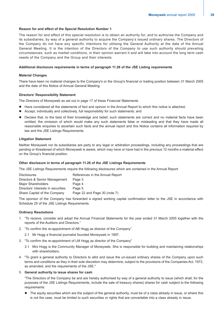### **Reason for and effect of the Special Resolution Number 1**

The reason for and effect of this special resolution is to obtain an authority for, and to authorise the Company and its subsidiaries, by way of a general authority to acquire the Company's issued ordinary shares. The Directors of the Company do not have any specific intentions for utilising the General Authority at the date of the Annual General Meeting. It is the intention of the Directors of the Company to use such authority should prevailing circumstances, such as market conditions, in their opinion warrant it and will take into account the long term cash needs of the Company and the Group and their interests.

### **Additional disclosure requirements in terms of paragraph 11.26 of the JSE Listing requirements**

### **Material Changes**

There have been no material changes to the Company's or the Group's financial or trading position between 31 March 2005 and the date of this Notice of Annual General Meeting.

### **Directors' Responsibility Statement**

The Directors of Moneyweb as set out in page 17 of these Financial Statements

- Have considered all the statements of fact and opinion in the Annual Report to which this notice is attached;
- Accept, individually and collectively, full responsibility for such statements; and
- Declare that, to the best of their knowledge and belief, such statements are correct and no material facts have been omitted, the omission of which would make any such statements false or misleading and that they have made all reasonable enquiries to ascertain such facts and the annual report and this Notice contains all information required by law and the JSE Listings Requirements.

### **Litigation Statement**

Neither Moneyweb nor its subsidiaries are party to any legal or arbitration proceedings, including any proceedings that are pending or threatened of which Moneyweb is aware, which may have or have had in the previous 12 months a material effect on the Group's financial position.

### **Other disclosure in terms of paragraph 11.26 of the JSE Listings Requirements**

The JSE Listings Requirements require the following disclosures which are contained in the Annual Report

| <b>Disclosures</b>                 | References in the Annual Report |  |  |
|------------------------------------|---------------------------------|--|--|
| Directors & Senior Management      | Page 3                          |  |  |
| Major Shareholders                 | Page 4                          |  |  |
| Directors' interests in securities | Page 5                          |  |  |
| Share Capital of the Company       | Page 22 and Page 30 (note 7)    |  |  |

The sponsor of the Company has forwarded a signed working capital confirmation letter to the JSE in accordance with Schedule 25 of the JSE Listings Requirements.

### **Ordinary Resolutions**

- 1. "To receive, consider and adopt the Annual Financial Statements for the year ended 31 March 2005 together with the reports of the Auditors and Directors."
- 2. "To confirm the re-appointment of AB Hogg as director of the Company"
	- 2.1 Mr Hogg a financial journalist founded Moneyweb in 1997.
- 3. "To confirm the re-appointment of LM Hogg as director of the Company"
	- 3.1 Mrs Hogg is the Community Manager of Moneyweb. She is responsible for building and maintaining relationships with shareholders.
- 4. "To grant a general authority to Directors to allot and issue the un-issued ordinary shares of the Company upon such terms and conditions as they in their sole discretion may determine, subject to the provisions of the Companies Act, 1973, as amended, and the requirements of the JSE."

### 5. **General authority to issue shares for cash**

"The Directors of the Company be and are hereby authorised by way of a general authority to issue (which shall, for the purposes of the JSE Listings Requirements, include the sale of treasury shares) shares for cash subject to the following requirements:

The equity securities which are the subject of the general authority, must be of a class already in issue, or where this is not the case, must be limited to such securities or rights that are convertable into a class already in issue;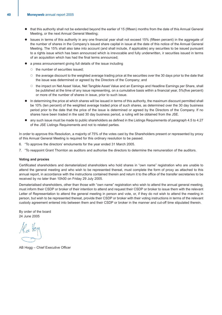- that this authority shall not be extended beyond the earlier of 15 (fifteen) months from the date of this Annual General Meeting, or the next Annual General Meeting;
- Issues in terms of this authority in any one financial year shall not exceed 15% (fifteen percent) in the aggregate of the number of shares in the Company's issued share capital in issue at the date of this notice of the Annual General Meeting. The 15% shall also take into account (and shall include, if applicable) any securities to be issued pursuant to a rights issue which has been announced which is irrevocable and fully underwritten, ir securities issued in terms of an acquisition which has had the final terms announced;
- a press announcement giving full details of the issue including
	- $\circ$  the number of securities issued:
	- $\circ$  the average discount to the weighted average trading price at the securities over the 30 days prior to the date that the issue was determined or agreed by the Directors of the Company; and
	- $\circ$  the impact on Net Asset Value, Net Tangible Asset Value and an Earnings and Headline Earnings per Share, shall be published at the time of any issue representing, on a cumulative basis within a financial year, 5%(five percent) or more of the number of shares in issue, prior to such issue.
- In determining the price at which shares will be issued in terms of this authority, the maximum discount permitted shall be 10% (ten percent) of the weighted average traded price of such shares, as determined over the 30 day business period prior to the date that the price of the issue is determined or agreed by the Directors of the Company. If no shares have been traded in the said 30 day business period, a ruling will be obtained from the JSE.
- any such issue must be made to public shareholders as defined in the Listings Requirements of paragraph 4.5 to 4.27 of the JSE Listings Requirements and not to related parties.

In order to approve this Resolution, a majority of 75% of the votes cast by the Shareholders present or represented by proxy of this Annual General Meeting is required for this ordinary resolution to be passed.

- 6. "To approve the directors' emoluments for the year ended 31 March 2005.
- 7. "To reappoint Grant Thornton as auditors and authorise the directors to determine the remuneration of the auditors.

### **Voting and proxies**

Certificated shareholders and dematerialized shareholders who hold shares in "own name" registration who are unable to attend the general meeting and who wish to be represented thereat, must complete the form of proxy as attached to this annual report, in accordance with the instructions contained therein and return it to the office of the transfer secretaries to be received by no later than 10h00 on Friday 29 July 2005.

Dematerialised shareholders, other than those with "own name" registration who wish to attend the annual general meeting, must inform their CSDP or broker of their intention to attend and request their CSDP or broker to issue them with the relevant Letter of Representation to attend the general meeting in person and vote, or, if they do not wish to attend the meeting in person, but wish to be represented thereat, provide their CSDP or broker with their voting instructions in terms of the relevant custody agreement entered into between them and their CSDP or broker in the manner and cut-off time stipulated therein.

By order of the board 24 June 2005

AB Hogg – Chief Executive Officer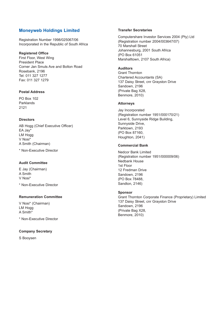### **Moneyweb Holdings Limited**

Registration Number 1998/025067/06 Incorporated in the Republic of South Africa

### **Registered Office**

First Floor, West Wing President Place Corner Jan Smuts Ave and Bolton Road Rosebank, 2196 Tel: 011 327 1277 Fax: 011 327 1279

### **Postal Address**

PO Box 102 Parklands 2121

### **Directors**

AB Hogg (Chief Executive Officer) EA Jay\* LM Hogg V Nosi\* A Smith (Chairman)

\* Non-Executive Director

### **Audit Committee**

E Jay (Chairman) A Smith V Nosi\*

\* Non-Executive Director

### **Remuneration Committee**

V Nosi\* (Chairman) LM Hogg A Smith\*

\* Non-Executive Director

### **Company Secretary**

S Booysen

### **Transfer Secretaries**

Computershare Investor Services 2004 (Pty) Ltd (Registration number 2004/003647/07) 70 Marshall Street Johannesburg, 2001 South Africa (PO Box 61051 Marshalltown, 2107 South Africa)

### **Auditors**

Grant Thornton Chartered Accountants (SA) 137 Daisy Street, cnr Grayston Drive Sandown, 2196 (Private Bag X28, Benmore, 2010)

### **Attorneys**

Jay Incorporated (Registration number 1951/000170/21) Level 6, Sunnyside Ridge Building, Sunnyside Drive, Parktown, 2193 (PO Box 87160, Houghton, 2041)

### **Commercial Bank**

Nedcor Bank Limited (Registration number 1951/000009/06) Nedbank House 1st Floor 12 Fredman Drive Sandown, 2196 (PO Box 78488, Sandton, 2146)

### **Sponsor**

Grant Thornton Corporate Finance (Proprietary) Limited 137 Daisy Street, cnr Grayston Drive Sandown, 2196 (Private Bag X28, Benmore, 2010)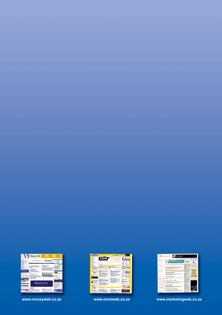|                                                                                                      | Moneyweb                                                                                                                                                                                                                                                                                                                                                                                                                                                                                                                              | <b><i><u>Installation</u></i></b><br><b>SANAR</b>                                                                                 |
|------------------------------------------------------------------------------------------------------|---------------------------------------------------------------------------------------------------------------------------------------------------------------------------------------------------------------------------------------------------------------------------------------------------------------------------------------------------------------------------------------------------------------------------------------------------------------------------------------------------------------------------------------|-----------------------------------------------------------------------------------------------------------------------------------|
| <b>STAR</b><br><b>NEWS</b><br>APPEAR & MALE ALLENE<br>modificat.<br><b>RESIDNATION</b><br>sicilians. | makalani<br>avaros, en adicadarei, a ca, e a                                                                                                                                                                                                                                                                                                                                                                                                                                                                                          | <b>Towns Margaret</b><br><b>The Myrowithin</b><br><b>Battlings mained</b><br><b>KRANCH-</b><br>iobs                               |
| <b>HELMA</b><br><b>MARKET</b><br><b>CALLAGE A</b><br><b>ANSETORAVE</b><br><b>MARGARET</b><br>come in | <b>INTERNATIONALLY</b><br>and Final Income 2-2000<br><b>Newto A Links</b><br>Sound that monitor and collar<br>No. 1996 / John<br>and love 19<br>In last literature, but homes provided at<br>Balancer: Anti-Atmosfatike better play<br>Christmas<br>mysteredays continued us acts a nonpostal that<br>Lincoln Artwrig of Freds<br>determine by front authority of prefer-<br><b>I Reproduce and in</b><br>mendizative la del dollars for simpsocious in<br>1.00 Teach-decade suite general<br><b>This ficture should if the gight</b> | <b>LAN AND NI BURG</b><br><b>Blue Advisement</b><br><b>And Artists</b><br><b>Lamin Canada Lincoln</b><br><b>PERSONAL PROPERTY</b> |
| <b>GO ANNOUNCE</b><br>lease Cole (I/C) Super<br><b>Red buildings Science of</b>                      | Free. Subscribe now<br><b>Chart Ing Ang promotive 4</b><br><b>CLTCK HERE!</b><br>the coverage<br>Redaces in Majoritaneous<br>aspective were deployable to be a registery and data of<br>in Particula back-responsable from lasters<br><b>The bing sensors</b><br><b>Hardwood and Canada</b>                                                                                                                                                                                                                                           | <b><i>SEARCH Process</i></b><br>of Brookhand<br>. Suffer develop<br>a send they would not the<br>4 August September 4             |
| The field fields<br>1770 (Shell and Charles Tree)<br><b>Philadelphia Service</b>                     | equinox.co.za<br>esking investment simple                                                                                                                                                                                                                                                                                                                                                                                                                                                                                             | <b>CLICK HERE</b><br><b>School College of Automotive</b><br><b>TiesTuil 3- Norat</b><br>dealer and consider<br><b>CRAFTER RE</b>  |
| <b>Natellies Expressed</b><br>promises of                                                            | <b>Andrew Committee</b><br><b>California</b> Salesti<br>s'line<br>ALL EPAIN, sales<br><b>Manufacturers</b> for alleged to be<br><b>Constrainment to stake that the Valuation</b><br>a company basic and<br>length considerable printing and<br>he economic leadment indules<br><b>Burning Highlie Memorant Look</b><br>welling the relevant<br>head                                                                                                                                                                                   |                                                                                                                                   |

**www.moneyweb.co.za www.mineweb.co.za www.marketingweb.co.za**



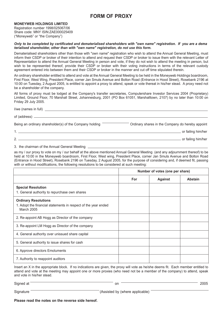### **FORM OF PROXY**

### **MONEYWEB HOLDINGS LIMITED**

Registration number 1998/025067/06 Share code: MNY ISIN:ZAE000025409 ("Moneyweb" or "the Company")

### *Only to be completed by certificated and dematerialised shareholders with "own name" registration. If you are a dema terialised shareholder, other than with "own name" registration, do not use this form.*

Dematerialised shareholders other than those with "own name" registration who wish to attend the Annual General Meeting, must inform their CSDP or broker of their intention to attend and request their CSDP or broker to issue them with the relevant Letter of Representation to attend the Annual General Meeting in person and vote, if they do not wish to attend the meeting in person, but wish to be represented thereof, provide their CSDP or broker with their voting instructions in terms of the relevant custody agreement entered into between them and their CSDP or broker in the manner and cut off time stipulated therein.

An ordinary shareholder entitled to attend and vote at the Annual General Meeting to be held in the Moneyweb Holdings boardroom, First Floor, West Wing, President Place, corner Jan Smuts Avenue and Bolton Road (Entrance in Hood Street), Rosebank 2196 at 10:00 on Tuesday, 2 August 2005, is entitled to appoint a proxy to attend, speak or vote thereat in his/her stead. A proxy need not be a shareholder of the company.

All forms of proxy must be lodged at the Company's transfer secretaries, Computershare Investor Services 2004 (Proprietary) Limited, Ground Floor, 70 Marshall Street, Johannesburg, 2001 (PO Box 61051, Marshalltown, 2107) by no later than 10:00 on Friday 29 July 2005.

| Being an ordinary shareholder(s) of the Company holding<br>Ordinary shares in the Company do hereby appoint |  |
|-------------------------------------------------------------------------------------------------------------|--|
| or failing him/her                                                                                          |  |
| or failing him/her                                                                                          |  |

### 3. the chairman of the Annual General Meeting

as my / our proxy to vote on my / our behalf at the above mentioned Annual General Meeting (and any adjournment thereof) to be held at 10:00 in the Moneyweb boardroom, First Floor, West wing, President Place, corner Jan Smuts Avenue and Bolton Road (Entrance in Hood Street), Rosebank 2196 on Tuesday, 2 August 2005, for the purpose of considering and, if deemed fit, passing with or without modifications, the following resolutions to be considered at such meeting:

|                                                                                                                    | Number of votes (one per share) |                |                |
|--------------------------------------------------------------------------------------------------------------------|---------------------------------|----------------|----------------|
|                                                                                                                    | For                             | <b>Against</b> | <b>Abstain</b> |
| <b>Special Resolution</b><br>1. General authority to repurchase own shares                                         |                                 |                |                |
| <b>Ordinary Resolutions</b><br>1. Adopt the financial statements in respect of the year ended<br><b>March 2005</b> |                                 |                |                |
| 2. Re-appoint AB Hogg as Director of the company                                                                   |                                 |                |                |
| 3. Re-appoint LM Hogg as Director of the company                                                                   |                                 |                |                |
| 4. General authority over unissued share capital                                                                   |                                 |                |                |
| 5. General authority to issue shares for cash                                                                      |                                 |                |                |
| 6. Approve directors Emoluments                                                                                    |                                 |                |                |
| 7. Authority to reappoint auditors                                                                                 |                                 |                |                |

Insert an X in the appropriate block. If no indications are given, the proxy will vote as he/she deems fit. Each member entitled to attend and vote at the meeting may appoint one or more proxies (who need not be a member of the company) to attend, speak and vote in his/her stead.

Signed at  $\overline{\hspace{1.5cm}}$  2005

Signature **Exercise 2.1 Signature** (Assisted by (where applicable)

**Please read the notes on the reverse side hereof.**